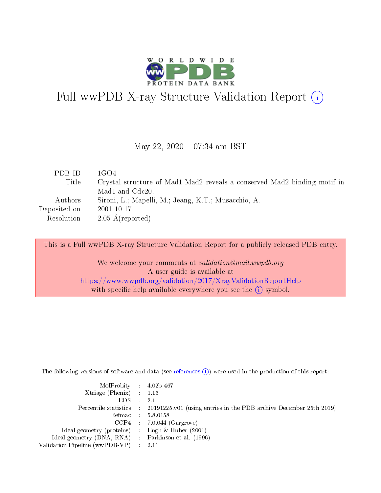

# Full wwPDB X-ray Structure Validation Report (i)

#### May 22, 2020 - 07:34 am BST

| PDB ID : $1GO4$             |                                                                                  |
|-----------------------------|----------------------------------------------------------------------------------|
|                             | Title : Crystal structure of Mad1-Mad2 reveals a conserved Mad2 binding motif in |
|                             | Mad1 and Cdc20.                                                                  |
|                             | Authors : Sironi, L.; Mapelli, M.; Jeang, K.T.; Musacchio, A.                    |
| Deposited on : $2001-10-17$ |                                                                                  |
|                             | Resolution : $2.05 \text{ Å}$ (reported)                                         |
|                             |                                                                                  |

This is a Full wwPDB X-ray Structure Validation Report for a publicly released PDB entry.

We welcome your comments at validation@mail.wwpdb.org A user guide is available at <https://www.wwpdb.org/validation/2017/XrayValidationReportHelp> with specific help available everywhere you see the  $(i)$  symbol.

The following versions of software and data (see [references](https://www.wwpdb.org/validation/2017/XrayValidationReportHelp#references)  $(i)$ ) were used in the production of this report:

| $MolProbability$ 4.02b-467                          |                                                                                            |
|-----------------------------------------------------|--------------------------------------------------------------------------------------------|
| Xtriage (Phenix) $: 1.13$                           |                                                                                            |
| $EDS$ :                                             | -2.11                                                                                      |
|                                                     | Percentile statistics : 20191225.v01 (using entries in the PDB archive December 25th 2019) |
|                                                     | Refmac : 5.8.0158                                                                          |
|                                                     | $CCP4$ : 7.0.044 (Gargrove)                                                                |
| Ideal geometry (proteins) : Engh $\&$ Huber (2001)  |                                                                                            |
| Ideal geometry (DNA, RNA) : Parkinson et al. (1996) |                                                                                            |
| Validation Pipeline (wwPDB-VP)                      | -2.11                                                                                      |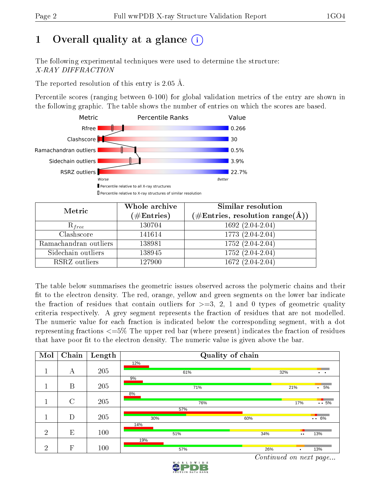# 1 [O](https://www.wwpdb.org/validation/2017/XrayValidationReportHelp#overall_quality)verall quality at a glance  $(i)$

The following experimental techniques were used to determine the structure: X-RAY DIFFRACTION

The reported resolution of this entry is 2.05 Å.

Percentile scores (ranging between 0-100) for global validation metrics of the entry are shown in the following graphic. The table shows the number of entries on which the scores are based.



| Metric                | Whole archive<br>$(\#\text{Entries})$ | Similar resolution<br>$(\#\text{Entries},\,\text{resolution}\,\,\text{range}(\textup{\AA}))$ |
|-----------------------|---------------------------------------|----------------------------------------------------------------------------------------------|
| $R_{free}$            | 130704                                | 1692 (2.04-2.04)                                                                             |
| Clashscore            | 141614                                | 1773 (2.04-2.04)                                                                             |
| Ramachandran outliers | 138981                                | 1752 (2.04-2.04)                                                                             |
| Sidechain outliers    | 138945                                | $1752(2.04-2.04)$                                                                            |
| RSRZ outliers         | 127900                                | $1672(2.04-2.04)$                                                                            |

The table below summarises the geometric issues observed across the polymeric chains and their fit to the electron density. The red, orange, yellow and green segments on the lower bar indicate the fraction of residues that contain outliers for  $\geq=3$ , 2, 1 and 0 types of geometric quality criteria respectively. A grey segment represents the fraction of residues that are not modelled. The numeric value for each fraction is indicated below the corresponding segment, with a dot representing fractions  $\epsilon=5\%$  The upper red bar (where present) indicates the fraction of residues that have poor fit to the electron density. The numeric value is given above the bar.

| Mol            | Chain                   | Length |     | Quality of chain |                  |                      |
|----------------|-------------------------|--------|-----|------------------|------------------|----------------------|
|                |                         |        | 12% |                  |                  |                      |
|                | А                       | 205    | 61% |                  | 32%              | $\ddot{\phantom{1}}$ |
|                |                         |        | 9%  |                  |                  |                      |
|                | $\boldsymbol{B}$        | 205    | 71% |                  | 21%              | 5%<br>$\bullet$      |
|                |                         |        | 8%  |                  |                  |                      |
|                | $\mathcal{C}$           | 205    | 76% |                  | 17%              | $\ddots$ 5%          |
|                |                         |        | 57% |                  |                  |                      |
|                | D                       | 205    | 30% | 60%              |                  | $\cdots$ 6%          |
|                |                         |        | 14% |                  |                  |                      |
| 2              | E                       | 100    | 51% | 34%              | $\bullet\bullet$ | 13%                  |
|                |                         |        | 19% |                  |                  |                      |
| $\overline{2}$ | $\overline{\mathrm{F}}$ | 100    | 57% | 26%              |                  | 13%                  |

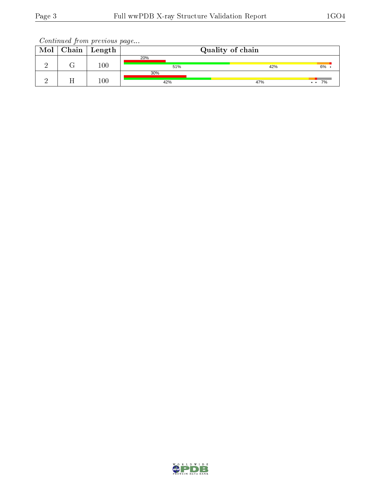| Mol | $Chain$ Length | Quality of chain |  |     |                 |
|-----|----------------|------------------|--|-----|-----------------|
|     |                | 20%              |  |     |                 |
|     | 100            | 51%              |  | 42% | 6%              |
|     |                | 30%              |  |     |                 |
|     | 100            | 42%              |  | 47% | 7%<br>$\bullet$ |

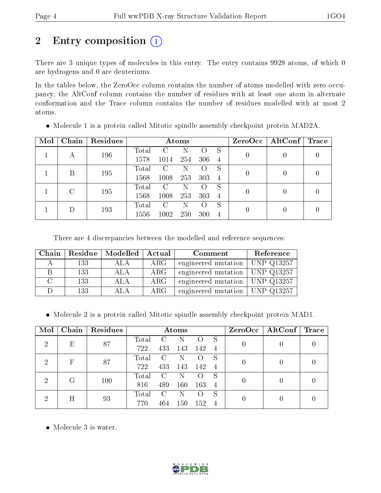# 2 Entry composition (i)

There are 3 unique types of molecules in this entry. The entry contains 9928 atoms, of which 0 are hydrogens and 0 are deuteriums.

In the tables below, the ZeroOcc column contains the number of atoms modelled with zero occupancy, the AltConf column contains the number of residues with at least one atom in alternate conformation and the Trace column contains the number of residues modelled with at most 2 atoms.

| Mol | Chain         | Residues | Atoms |      |     |                |                | $ZeroOcc \   \$ AltConf | Trace |  |
|-----|---------------|----------|-------|------|-----|----------------|----------------|-------------------------|-------|--|
|     | А             | 196      | Total |      |     |                | S              | 0                       |       |  |
|     |               |          | 1578  | 1014 | 254 | 306            | $\overline{4}$ |                         |       |  |
|     | В             | 195      | Total | C    | Ν   |                | S              | 0                       |       |  |
|     |               |          | 1568  | 1008 | 253 | 303            | $\overline{4}$ |                         |       |  |
|     | $\mathcal{C}$ | 195      | Total | C    | N   |                | S              |                         |       |  |
|     |               |          | 1568  | 1008 | 253 | 303            | $\overline{4}$ |                         |       |  |
|     |               |          | Total | C    | N   |                | S              |                         |       |  |
|     | 193           | 1556     | 1002  | 250  | 300 | $\overline{4}$ |                |                         |       |  |

Molecule 1 is a protein called Mitotic spindle assembly checkpoint protein MAD2A.

There are 4 discrepancies between the modelled and reference sequences:

| Chain | Residue | Modelled | Actual     | Comment                                       | Reference  |
|-------|---------|----------|------------|-----------------------------------------------|------------|
|       | 133     | ALA      | $\rm{ARG}$ | engineered mutation                           | UNP Q13257 |
|       | 133     | ALA      | $\rm{ARG}$ | engineered mutation   UNP $Q13\overline{257}$ |            |
|       | 133     | ALA      | $\rm{ARG}$ | engineered mutation   UNP $Q13257$            |            |
|       | 133     | ALA      | $\rm{ARG}$ | engineered mutation   UNP $Q13257$            |            |

Molecule 2 is a protein called Mitotic spindle assembly checkpoint protein MAD1.

| Mol                         | Chain | Residues | Atoms |               |     |                    |     | ZeroOcc | $\mid$ AltConf $\mid$ Trace |  |
|-----------------------------|-------|----------|-------|---------------|-----|--------------------|-----|---------|-----------------------------|--|
| $\mathcal{D}$               | Ε     | 87       | Total | $\mathcal{C}$ | N   |                    |     |         |                             |  |
|                             |       |          | 722   | 433           | 143 | 142                | - 4 |         |                             |  |
| $\mathcal{D}_{\mathcal{A}}$ | F     | 87       | Total | C             | N   |                    | S   |         |                             |  |
|                             |       |          | 722   | 433           | 143 | 142                | -4  |         |                             |  |
| $\mathcal{D}_{\mathcal{A}}$ | G     | 100      | Total | C             | N   |                    | S   |         |                             |  |
|                             |       |          | 816   | 489           | 160 | 163                | -4  |         |                             |  |
| റ                           |       |          | Total | C             | N   | $\left( \ \right)$ | S   |         |                             |  |
| H                           | 93    | 770      | 464   | 150           | 152 | $\overline{4}$     |     |         |                             |  |

• Molecule 3 is water.

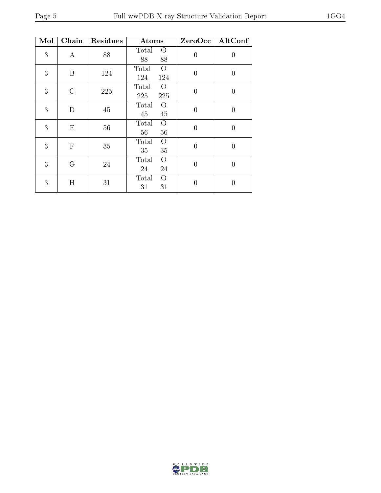| Mol | Chain            | Residues | Atoms                                 | ZeroOcc        | AltConf        |
|-----|------------------|----------|---------------------------------------|----------------|----------------|
| 3   | $\boldsymbol{A}$ | 88       | Total<br>$\overline{O}$<br>88<br>88   | $\overline{0}$ | $\overline{0}$ |
| 3   | B                | 124      | $\overline{O}$<br>Total<br>124<br>124 | $\overline{0}$ | $\overline{0}$ |
| 3   | $\rm C$          | 225      | $\overline{O}$<br>Total<br>225<br>225 | $\overline{0}$ | $\overline{0}$ |
| 3   | D                | 45       | Total<br>$\rm{O}$<br>45<br>45         | $\theta$       | $\overline{0}$ |
| 3   | E                | 56       | Total<br>$\Omega$<br>56<br>56         | $\overline{0}$ | $\overline{0}$ |
| 3   | $\mathbf{F}$     | 35       | Total<br>$\Omega$<br>35<br>35         | $\overline{0}$ | $\overline{0}$ |
| 3   | G                | 24       | Total<br>$\overline{O}$<br>24<br>24   | $\theta$       | $\overline{0}$ |
| 3   | H                | 31       | Total<br>$\Omega$<br>31<br>31         | 0              | $\overline{0}$ |

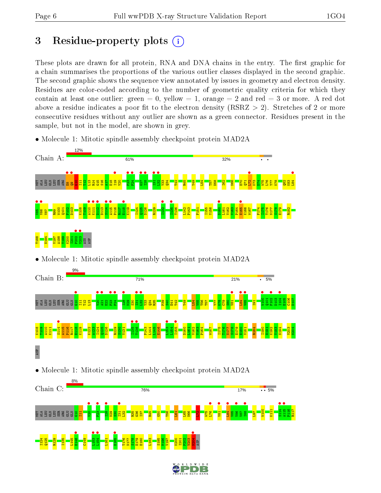# 3 Residue-property plots  $(i)$

These plots are drawn for all protein, RNA and DNA chains in the entry. The first graphic for a chain summarises the proportions of the various outlier classes displayed in the second graphic. The second graphic shows the sequence view annotated by issues in geometry and electron density. Residues are color-coded according to the number of geometric quality criteria for which they contain at least one outlier: green  $= 0$ , yellow  $= 1$ , orange  $= 2$  and red  $= 3$  or more. A red dot above a residue indicates a poor fit to the electron density (RSRZ  $> 2$ ). Stretches of 2 or more consecutive residues without any outlier are shown as a green connector. Residues present in the sample, but not in the model, are shown in grey.

- $120/$ Chain A: 61%  $32%$ E8 •  $\frac{1}{2}$  $\frac{119}{119}$  $\frac{1}{2}$ **•**<br>F24 •  $\frac{1}{27}$  $\frac{128}{128}$  $\frac{1}{12}$  $\frac{1}{2}$  $\frac{172}{172}$ **•**<br>L84 **LEU SER SER**  $\mathbf{g}$  $\overline{\mathbf{H}}$  $\frac{21}{2}$  $\frac{2}{3}$ R14 G15  $\frac{16}{16}$  $\frac{17}{4}$ E18  $\frac{1}{2}$ Y33  $\frac{34}{2}$ T42 R45 Y49  $\overline{54}$ T57 D58 I62 N66  $\mathbb{E}$  $\mathbb{Z}$ K73 D74 W75 L76 Y77  $\frac{8}{2}$  $\frac{2}{8}$ K83  $\frac{1}{\sqrt{25}}$  $\frac{1}{\sqrt{25}}$  $\frac{110}{1111}$ **K111**<br>Piirs  $\frac{112}{2113}$ S114 •  $\frac{115}{2146}$ **E**<br>E118 I132 •  $\frac{1135}{\pi 126}$ D160 • E165 • I124 P164 F174 W100 Q101 F102 D103 K108 T109 D113 P116 R117 K119 Q125 D126 R129 T136 L142 P143 F151 I155 Y156 L161 V162 V163 K166 W167 I175 T176 N177 S178 E179 R182 V87 R99  $\frac{1}{202}$  $\frac{1}{203}$ T188 N194 V197 A198 Y199  $\frac{8}{2}$ I201 ASN ASP • Molecule 1: Mitotic spindle assembly checkpoint protein MAD2A
- Molecule 1: Mitotic spindle assembly checkpoint protein MAD2A





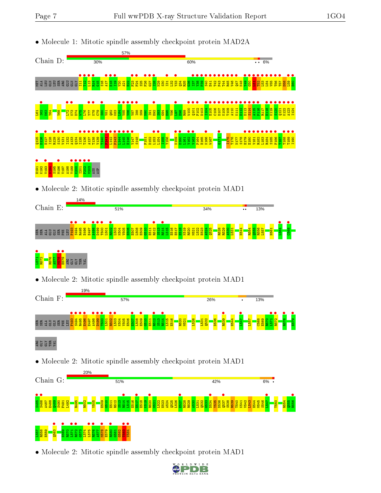

• Molecule 2: Mitotic spindle assembly checkpoint protein MAD1

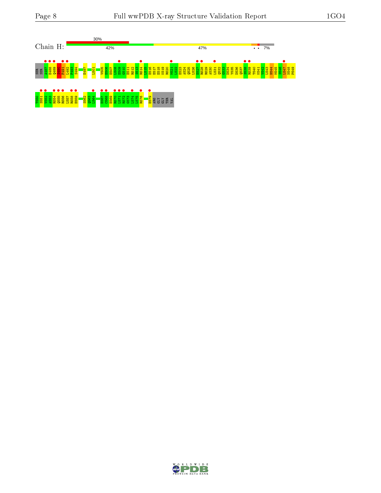

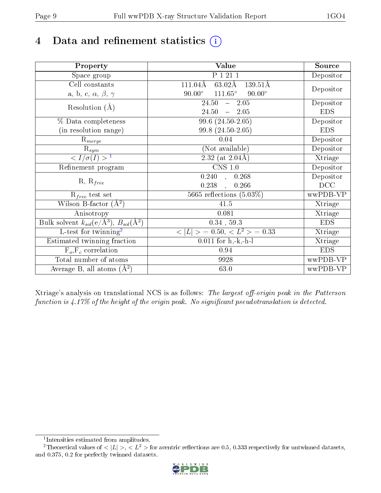# 4 Data and refinement statistics  $(i)$

| Property                                                             | <b>Value</b>                                             | Source     |
|----------------------------------------------------------------------|----------------------------------------------------------|------------|
| Space group                                                          | P 1 21 1                                                 | Depositor  |
| Cell constants                                                       | $63.02\text{\AA}$<br>111.04Å<br>139.51Å                  |            |
| a, b, c, $\alpha$ , $\beta$ , $\gamma$                               | $111.65^\circ$<br>$90.00^\circ$<br>$90.00^\circ$         | Depositor  |
| Resolution $(A)$                                                     | 24.50<br>$-2.05$                                         | Depositor  |
|                                                                      | 24.50<br>$-2.05$                                         | <b>EDS</b> |
| % Data completeness                                                  | 99.6 (24.50-2.05)                                        | Depositor  |
| (in resolution range)                                                | 99.8 (24.50-2.05)                                        | <b>EDS</b> |
| $R_{merge}$                                                          | 0.04                                                     | Depositor  |
| $\mathrm{R}_{sym}$                                                   | (Not available)                                          | Depositor  |
| $\langle I/\sigma(I) \rangle^{-1}$                                   | $2.32$ (at $2.04\text{\AA}$ )                            | Xtriage    |
| Refinement program                                                   | $CNS$ 1.0                                                | Depositor  |
|                                                                      | $\overline{0.240}$ ,<br>0.268                            | Depositor  |
| $R, R_{free}$                                                        | 0.238<br>0.266<br>$\ddot{\phantom{0}}$                   | DCC        |
| $R_{free}$ test set                                                  | 5665 reflections $(5.03\%)$                              | wwPDB-VP   |
| Wilson B-factor $(A^2)$                                              | 41.5                                                     | Xtriage    |
| Anisotropy                                                           | 0.081                                                    | Xtriage    |
| Bulk solvent $k_{sol}(e/\mathring{A}^3)$ , $B_{sol}(\mathring{A}^2)$ | $0.34$ , 59.3                                            | <b>EDS</b> |
| $\overline{L-test for}$ twinning <sup>2</sup>                        | $\langle  L  \rangle = 0.50, \langle L^2 \rangle = 0.33$ | Xtriage    |
| Estimated twinning fraction                                          | $\overline{0.0}11$ for h,-k,-h-l                         | Xtriage    |
| $F_o, F_c$ correlation                                               | 0.94                                                     | <b>EDS</b> |
| Total number of atoms                                                | 9928                                                     | wwPDB-VP   |
| Average B, all atoms $(A^2)$                                         | 63.0                                                     | wwPDB-VP   |

Xtriage's analysis on translational NCS is as follows: The largest off-origin peak in the Patterson function is  $4.17\%$  of the height of the origin peak. No significant pseudotranslation is detected.

<sup>&</sup>lt;sup>2</sup>Theoretical values of  $\langle |L| \rangle$ ,  $\langle L^2 \rangle$  for acentric reflections are 0.5, 0.333 respectively for untwinned datasets, and 0.375, 0.2 for perfectly twinned datasets.



<span id="page-8-1"></span><span id="page-8-0"></span><sup>1</sup> Intensities estimated from amplitudes.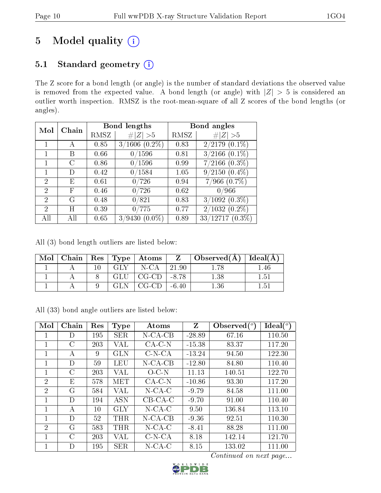# 5 Model quality  $(i)$

## 5.1 Standard geometry (i)

The Z score for a bond length (or angle) is the number of standard deviations the observed value is removed from the expected value. A bond length (or angle) with  $|Z| > 5$  is considered an outlier worth inspection. RMSZ is the root-mean-square of all Z scores of the bond lengths (or angles).

| Mol           | Chain      |      | <b>Bond lengths</b>      | Bond angles |                               |  |
|---------------|------------|------|--------------------------|-------------|-------------------------------|--|
|               |            | RMSZ | #<br> Z  > 5             | RMSZ        | # $ Z  > 5$                   |  |
|               | А          | 0.85 | $3/1606$ $(0.2\%)$       | 0.83        | $2/2179$ $(0.\overline{1\%)}$ |  |
|               | В          | 0.66 | 0/1596                   | 0.81        | $3/2166$ $(0.1\%)$            |  |
|               | C          | 0.86 | 0/1596                   | 0.99        | $7/2166$ $(0.3\%)$            |  |
|               | D          | 0.42 | 0/1584                   | 1.05        | $9/2150(0.4\%)$               |  |
| 2             | Е          | 0.61 | 0/726                    | 0.94        | $7/966$ $(0.7\%)$             |  |
| 2             | $_{\rm F}$ | 0.46 | 0/726                    | 0.62        | 0/966                         |  |
| $\mathcal{D}$ | G          | 0.48 | 0/821                    | 0.83        | $3/1092(0.3\%)$               |  |
| 2             | H          | 0.39 | 0/775                    | 0.77        | $2/1032(0.2\%)$               |  |
| AH            | Аll        | 0.65 | /9430<br>$(0.0\%)$<br>3/ | 0.89        | $33/12717(0.3\%)$             |  |

All (3) bond length outliers are listed below:

| Mol |  |     | Chain   Res   Type   Atoms | $Z =$   | $\overline{\phantom{a}}$ Observed(A) | $ $ Ideal $(A)$ |
|-----|--|-----|----------------------------|---------|--------------------------------------|-----------------|
|     |  | GLY | N-CA                       | 21.90   |                                      | .46             |
|     |  | GLU | $CG-CD$                    | -8.78   | 1.38                                 | 1.51            |
|     |  |     | CG-CD                      | $-6.40$ |                                      | - 5.            |

All (33) bond angle outliers are listed below:

| Mol            | Chain         | Res | <b>Type</b> | Atoms      | Z        | Observed $(^\circ)$ | $\text{Ideal}({}^o)$ |
|----------------|---------------|-----|-------------|------------|----------|---------------------|----------------------|
| 1              | D             | 195 | <b>SER</b>  | $N$ -CA-CB | $-28.89$ | 67.16               | 110.50               |
|                | $\mathcal C$  | 203 | VAL         | $CA-C-N$   | $-15.38$ | 83.37               | 117.20               |
| 1              | А             | 9   | GLN         | $C-N-CA$   | $-13.24$ | 94.50               | 122.30               |
| 1              | D             | 59  | <b>LEU</b>  | $N$ -CA-CB | $-12.80$ | 84.80               | 110.40               |
| 1              | $\mathcal{C}$ | 203 | VAL         | $O$ -C-N   | 11.13    | 140.51              | 122.70               |
| $\overline{2}$ | E             | 578 | MET         | $CA-C-N$   | $-10.86$ | 93.30               | 117.20               |
| $\overline{2}$ | G             | 584 | VAL         | $N$ -CA-C  | $-9.79$  | 84.58               | 111.00               |
| 1              | D             | 194 | <b>ASN</b>  | $CB-CA-C$  | $-9.70$  | 91.00               | 110.40               |
| 1              | А             | 10  | <b>GLY</b>  | $N$ -CA-C  | 9.50     | 136.84              | 113.10               |
|                | D             | 52  | THR         | N-CA-CB    | $-9.36$  | 92.51               | 110.30               |
| $\overline{2}$ | G             | 583 | THR         | $N$ -CA-C  | $-8.41$  | 88.28               | 111.00               |
| 1              | $\mathcal{C}$ | 203 | VAL         | $C-N-CA$   | 8.18     | 142.14              | 121.70               |
| 1              | D             | 195 | <b>SER</b>  | $N$ -CA-C  | 8.15     | 133.02              | 111.00               |

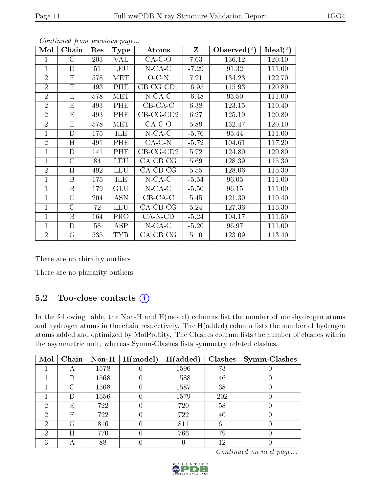| Mol            | Chain          | Res | <b>Type</b> | Atoms              | Z       | Observed $(°)$ | Ideal $(°)$ |
|----------------|----------------|-----|-------------|--------------------|---------|----------------|-------------|
|                | $\rm C$        | 203 | VAL         | $CA-C-O$           | 7.63    | 136.12         | 120.10      |
| $\mathbf{1}$   | D              | 51  | <b>LEU</b>  | $N$ -CA-C          | $-7.29$ | 91.32          | 111.00      |
| $\overline{2}$ | E              | 578 | <b>MET</b>  | $O-C-N$            | 7.21    | 134.23         | 122.70      |
| $\overline{2}$ | E              | 493 | PHE         | $CB-CG-CD1$        | $-6.95$ | 115.93         | 120.80      |
| $\overline{2}$ | E              | 578 | <b>MET</b>  | $N$ -CA-C          | $-6.48$ | 93.50          | 111.00      |
| $\overline{2}$ | E              | 493 | PHE         | $CB-CA-C$          | 6.38    | 123.15         | 110.40      |
| $\overline{2}$ | E              | 493 | PHE         | $CB-CG-CD2$        | 6.27    | 125.19         | 120.80      |
| $\overline{2}$ | E              | 578 | MET         | $CA-C-O$           | 5.89    | 132.47         | 120.10      |
| 1              | D              | 175 | ILE         | $N$ -CA-C          | $-5.76$ | 95.44          | 111.00      |
| $\overline{2}$ | H              | 491 | PHE         | $CA-C-N$           | $-5.72$ | 104.61         | 117.20      |
| 1              | D              | 141 | PHE         | $CB-CG-CD2$        | 5.72    | 124.80         | 120.80      |
| 1              | $\rm C$        | 84  | <b>LEU</b>  | $CA-CB-CG$         | 5.69    | 128.39         | 115.30      |
| $\overline{2}$ | H              | 492 | <b>LEU</b>  | $CA-CB-CG$         | 5.55    | 128.06         | 115.30      |
| 1              | B              | 175 | <b>ILE</b>  | $N$ -CA-C          | $-5.54$ | 96.05          | 111.00      |
| $\mathbf{1}$   | B              | 179 | GLU         | $N$ -CA-C          | $-5.50$ | 96.15          | 111.00      |
| 1              | $\rm C$        | 204 | <b>ASN</b>  | $CB-CA-C$          | 5.45    | 121.30         | 110.40      |
| $\mathbf{1}$   | $\overline{C}$ | 72  | <b>LEU</b>  | $CA-CB-CG$         | 5.24    | 127.36         | 115.30      |
| 1              | B              | 164 | <b>PRO</b>  | $CA-N-CD$          | $-5.24$ | 104.17         | 111.50      |
| 1              | D              | 58  | ASP         | $N$ -CA-C          | $-5.20$ | 96.97          | 111.00      |
| $\overline{2}$ | G              | 535 | <b>TYR</b>  | $CA$ - $CB$ - $CG$ | 5.10    | 123.09         | 113.40      |

There are no chirality outliers.

There are no planarity outliers.

### 5.2 Too-close contacts  $(i)$

In the following table, the Non-H and H(model) columns list the number of non-hydrogen atoms and hydrogen atoms in the chain respectively. The H(added) column lists the number of hydrogen atoms added and optimized by MolProbity. The Clashes column lists the number of clashes within the asymmetric unit, whereas Symm-Clashes lists symmetry related clashes.

| Mol |           |      | Chain   Non-H   $H (model)$ | H(added) | Clashes | $\vert$ Symm-Clashes |
|-----|-----------|------|-----------------------------|----------|---------|----------------------|
|     | A         | 1578 |                             | 1596     | 73      |                      |
|     | B         | 1568 |                             | 1588     | 46      |                      |
|     | $\subset$ | 1568 |                             | 1587     | 38      |                      |
|     | Ð         | 1556 |                             | 1579     | 202     |                      |
| 2   | Е         | 722  |                             | 720      | 58      |                      |
| 2   | F         | 722  |                             | 722      | 40      |                      |
| ച   | G         | 816  |                             | 811      | 61      |                      |
| 2   | Η         | 770  |                             | 766      | 79      |                      |
| З   |           | 88   |                             |          | 12      |                      |

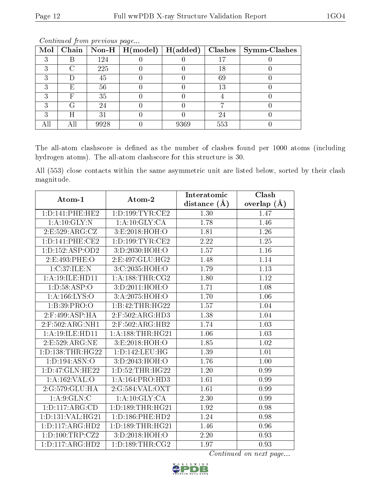| Mol |   |      | $\boxed{\text{Chain}}$ Non-H   H(model) | $H(\mathrm{added})$ |     | $Clashes$   Symm-Clashes |
|-----|---|------|-----------------------------------------|---------------------|-----|--------------------------|
|     |   | 124  |                                         |                     | 17  |                          |
|     |   | 225  |                                         |                     | 18  |                          |
|     |   | 45   |                                         |                     | 69  |                          |
|     | E | 56   |                                         |                     | 13  |                          |
|     |   | 35   |                                         |                     |     |                          |
|     |   | 24   |                                         |                     |     |                          |
|     | H | 31   |                                         |                     | 24  |                          |
|     |   | 9928 |                                         | 9369                | 553 |                          |

The all-atom clashscore is defined as the number of clashes found per 1000 atoms (including hydrogen atoms). The all-atom clashscore for this structure is 30.

All (553) close contacts within the same asymmetric unit are listed below, sorted by their clash magnitude.

| Atom-1               | Atom-2                          | Interatomic    | Clash             |
|----------------------|---------------------------------|----------------|-------------------|
|                      |                                 | distance $(A)$ | overlap $(A)$     |
| 1: D: 141: PHE: HE2  | 1: D: 199: TYR: CE2             | 1.30           | 1.47              |
| 1:A:10:GLY:N         | 1: A:10: GLY: CA                | 1.78           | 1.46              |
| 2:E:529:ARG:CZ       | 3:E:2018:HOH:O                  | 1.81           | 1.26              |
| 1: D: 141: PHE: CE2  | 1: D: 199: TYR: CE2             | 2.22           | 1.25              |
| 1: D: 152: ASP: OD2  | 3:D:2030:HOH:O                  | 1.57           | 1.16              |
| 2:E:493:PHE:O        | 2:E:497:GLU:HG2                 | 1.48           | 1.14              |
| 1:C:37:ILE:N         | $3:C:2035:H\overline{OH:O}$     | 1.79           | 1.13              |
| 1:A:19:ILE:HD11      | 1: A: 188: THR: CG2             | 1.80           | 1.12              |
| 1: D: 58: ASP: O     | 3:D:2011:HOH:O                  | 1.71           | $\overline{1.08}$ |
| 1: A: 166: LYS: O    | 3:A:2075:HOH:O                  | 1.70           | 1.06              |
| 1:B:39:PRO:O         | 1:B:42:THR:HG22                 | 1.57           | 1.04              |
| $2:$ F:499:ASP:HA    | $2:$ F:502:ARG:HD3              | 1.38           | 1.04              |
| 2:F:502:ARG:NH1      | 2:F:502:ARG:HB2                 | 1.74           | 1.03              |
| 1:A:19:ILE:HD11      | 1: A: 188: THR: HG21            | 1.06           | 1.03              |
| 2:E:529:ARG:NE       | 3:E:2018:HOH:O                  | 1.85           | 1.02              |
| 1: D: 138: THR: HG22 | 1: D: 142: LEU: HG              | 1.39           | 1.01              |
| 1:D:194:ASN:O        | 3:D:2043:HOH:O                  | 1.76           | 1.00              |
| 1: D: 47: GLN: HE22  | 1: D: 52: THR: HG22             | 1.20           | 0.99              |
| 1: A: 162: VAL: O    | 1: A: 164: PRO: HD3             | 1.61           | 0.99              |
| 2:G:579:GLU:HA       | 2:G:584:VAL:OXT                 | 1.61           | 0.99              |
| 1: A:9: GLN:C        | 1:A:10:GLY:CA                   | 2.30           | 0.99              |
| 1: D: 117: ARG: CD   | 1: D: 189: THR: HG21            | 1.92           | 0.98              |
| 1:D:131:VAL:HG21     | 1: D: 186: PHE: HD2             | 1.24           | 0.98              |
| 1: D: 117: ARG: HD2  | 1:D:189:THR:HG21                | 1.46           | 0.96              |
| 1: D: 100: TRP: CZ2  | 3:D:2018:HOH:O                  | 2.20           | 0.93              |
| 1: D: 117: ARG: HD2  | 1: D: 189: THR: C <sub>G2</sub> | 1.97           | 0.93              |

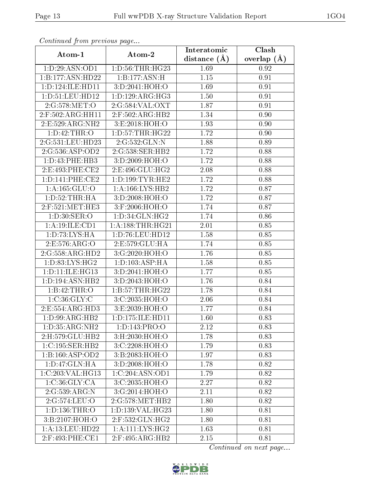| Communica from precious page |                           | Interatomic    | Clash           |
|------------------------------|---------------------------|----------------|-----------------|
| Atom-1                       | Atom-2                    | distance $(A)$ | overlap $(\AA)$ |
| 1:D:29:ASN:OD1               | 1: D: 56: THR: HG23       | 1.69           | 0.92            |
| 1:B:177:ASN:HD22             | 1:B:177:ASN:H             | $1.15\,$       | 0.91            |
| 1: D: 124: ILE: HD11         | 3:D:2041:HOH:O            | 1.69           | 0.91            |
| 1: D: 51: LEU: HD12          | 1: D: 129: ARG: HG3       | 1.50           | 0.91            |
| 2:G:578:MET:O                | 2:G:584:VAL:OXT           | 1.87           | 0.91            |
| 2:F:502:ARG:HH11             | $2:$ F:502:ARG:HB2        | 1.34           | 0.90            |
| 2: E: 529: ARG: NH2          | 3:E:2018:HOH:O            | 1.93           | 0.90            |
| 1: D: 42: THR: O             | 1: D: 57: THR: HG22       | 1.72           | 0.90            |
| 2:G:531:LEU:HD23             | 2:G:532:GLN:N             | 1.88           | 0.89            |
| 2:G:536:ASP:OD2              | 2:G:538:SER:HB2           | 1.72           | 0.88            |
| 1:D:43:PHE:HB3               | 3: D:2009:HOH:O           | 1.72           | 0.88            |
| 2:E:493:PHE:CE2              | 2:E:496:GLU:HG2           | 2.08           | 0.88            |
| 1: D: 141: PHE: CE2          | 1: D: 199: TYR: HE2       | 1.72           | 0.88            |
| 1: A: 165: GLU: O            | 1: A: 166: LYS: HB2       | 1.72           | 0.87            |
| 1: D: 52: THR: HA            | 3:D:2008:HOH:O            | 1.72           | 0.87            |
| $2:$ F:521:MET:HE3           | 3:F:2006:HOH:O            | 1.74           | 0.87            |
| 1: D:30: SER:O               | 1: D: 34: GLN: HG2        | 1.74           | 0.86            |
| 1: A: 19: ILE: CD1           | 1: A: 188: THR: HG21      | 2.01           | 0.85            |
| 1: D: 73: LYS: HA            | 1:D:76:LEU:HD12           | 1.58           | 0.85            |
| 2:E:576:ARG:O                | 2:E:579:GLU:HA            | 1.74           | 0.85            |
| 2:G:558:ARG:HD2              | 3:G:2020:HOH:O            | 1.76           | 0.85            |
| 1:D:83:LYS:HG2               | 1: D: 103: ASP: HA        | 1.58           | 0.85            |
| 1: D: 11: ILE: HG13          | 3:D:2041:HOH:O            | 1.77           | 0.85            |
| 1: D: 194: ASN: HB2          | 3:D:2043:HOH:O            | 1.76           | 0.84            |
| 1:B:42:THR:O                 | 1:B:57:THR:HG22           | 1.78           | 0.84            |
| 1:C:36:GLY:C                 | 3:C:2035:HOH:O            | 2.06           | 0.84            |
| 2:E:554:ARG:HD3              | 3:E:2039:HOH:O            | 1.77           | 0.84            |
| 1:D:99:ARG:HB2               | 1:D:175:ILE:HD11          | 1.60           | 0.83            |
| 1:D:35:ARG:NH2               | 1: D: 143: PRO: O         | 2.12           | 0.83            |
| 2:H:579:GLU:HB2              | $3:$ H $:2030:$ HOH $:$ O | 1.78           | 0.83            |
| 1:C:195:SER:HB2              | 3:C:2208:HOH:O            | 1.79           | 0.83            |
| 1:B:160:ASP:OD2              | 3:B:2083:HOH:O            | 1.97           | 0.83            |
| 1: D: 47: GLN: HA            | 3:D:2008:HOH:O            | 1.78           | 0.82            |
| 1:C:203:VAL:HG13             | 1:C:204:ASN:OD1           | 1.79           | 0.82            |
| 1:C:36:GLY:CA                | 3:C:2035:HOH:O            | 2.27           | 0.82            |
| 2:G:539:ARG:N                | 3:G:2014:HOH:O            | 2.11           | 0.82            |
| 2:G:574:LEU:O                | 2:G:578:MET:HB2           | 1.80           | 0.82            |
| 1: D: 136: THR:O             | 1:D:139:VAL:HG23          | 1.80           | 0.81            |
| 3:B:2107:HOH:O               | 2:F:532:GLN:HG2           | 1.80           | 0.81            |
| 1: A:13: LEU: HD22           | 1: A: 111: LYS: HG2       | 1.63           | 0.81            |
| 2:F:493:PHE:CE1              | 2:F:495:ARG:HB2           | 2.15           | 0.81            |

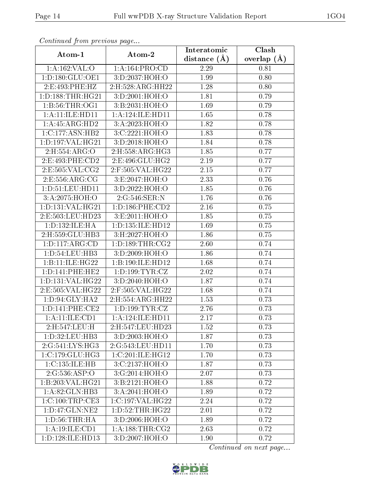| Continuati prom previous page |                      | Interatomic    | Clash           |
|-------------------------------|----------------------|----------------|-----------------|
| Atom-1                        | Atom-2               | distance $(A)$ | overlap $(\AA)$ |
| 1:A:162:VAL:O                 | 1:A:164:PRO:CD       | 2.29           | 0.81            |
| 1: D: 180: GLU: OE1           | 3:D:2037:HOH:O       | 1.99           | 0.80            |
| 2: E:493: PHE:HZ              | 2: H: 528: ARG: HH22 | 1.28           | 0.80            |
| 1: D: 188: THR: HG21          | 3:D:2001:HOH:O       | 1.81           | 0.79            |
| 1: B:56:THR:OG1               | 3:B:2031:HOH:O       | 1.69           | 0.79            |
| 1:A:11:ILE:HD11               | 1: A:124: ILE: HD11  | 1.65           | 0.78            |
| 1:A:45:ARG:HD2                | 3:A:2023:HOH:O       | 1.82           | 0.78            |
| 1:C:177:ASN:HB2               | 3:C:2221:HOH:O       | 1.83           | 0.78            |
| 1: D: 197: VAL: HG21          | 3:D:2018:HOH:O       | 1.84           | 0.78            |
| 2:H:554:ARG:O                 | 2: H: 558: ARG: HG3  | 1.85           | 0.77            |
| 2:E:493:PHE:CD2               | 2:E:496:GLU:HG2      | 2.19           | 0.77            |
| 2: E: 505: VAL: CG2           | 2:F:505:VAL:HG22     | 2.15           | 0.77            |
| 2:E:556:ARG:CG                | 3:E:2047:HOH:O       | 2.33           | 0.76            |
| 1: D: 51: LEU: HD11           | 3:D:2022:HOH:O       | 1.85           | 0.76            |
| 3:A:2075:HOH:O                | 2:G:546:SER:N        | 1.76           | 0.76            |
| 1:D:131:VAL:HG21              | 1: D: 186: PHE: CD2  | 2.16           | 0.75            |
| 2:E:503:LEU:HD23              | 3: E:2011:HOH:O      | 1.85           | 0.75            |
| 1:D:132:ILE:HA                | 1:D:135:ILE:HD12     | 1.69           | 0.75            |
| 2:H:559:GLU:HB3               | 3:H:2027:HOH:O       | 1.86           | 0.75            |
| 1: D: 117: ARG: CD            | 1: D: 189: THR: CG2  | 2.60           | 0.74            |
| 1: D: 54: LEU: HB3            | 3:D:2009:HOH:O       | 1.86           | 0.74            |
| 1:B:11:ILE:HG22               | 1:B:190:ILE:HD12     | 1.68           | 0.74            |
| 1: D: 141: PHE: HE2           | 1: D: 199: TYR: CZ   | 2.02           | 0.74            |
| 1:D:131:VAL:HG22              | 3:D:2040:HOH:O       | 1.87           | 0.74            |
| 2:E:505:VAL:HG22              | 2:F:505:VAL:HG22     | 1.68           | 0.74            |
| 1: D:94: GLY: HA2             | 2:H:554:ARG:HH22     | 1.53           | 0.73            |
| 1: D: 141: PHE: CE2           | 1: D: 199: TYR: CZ   | 2.76           | 0.73            |
| 1: A: 11: ILE: CD1            | 1:A:124:ILE:HD11     | 2.17           | 0.73            |
| 2:H:547:LEU:H                 | 2:H:547:LEU:HD23     | 1.52           | 0.73            |
| 1:D:32:LEU:HB3                | 3:D:2003:HOH:O       | 1.87           | 0.73            |
| 2:G:541:LYS:HG3               | 2:G:543:LEU:HD11     | 1.70           | 0.73            |
| 1:C:179:CLU:HG3               | 1:C:201:ILE:HG12     | 1.70           | 0.73            |
| 1:C:135:ILE:HB                | 3:C:2137:HOH:O       | 1.87           | 0.73            |
| 2:G:536:ASP:O                 | 3:G:2014:HOH:O       | 2.07           | 0.73            |
| 1:B:203:VAL:HG21              | 3:B:2121:HOH:O       | 1.88           | 0.72            |
| 1:A:82:GLN:HB3                | 3:A:2041:HOH:O       | 1.89           | 0.72            |
| 1:C:100:TRP:CE3               | 1:C:197:VAL:HG22     | 2.24           | 0.72            |
| 1:D:47:GLN:NE2                | 1: D: 52: THR: HG22  | 2.01           | 0.72            |
| 1: D: 56: THR: HA             | 3:D:2006:HOH:O       | 1.89           | 0.72            |
| 1:A:19:ILE:CD1                | 1: A: 188: THR: CG2  | 2.63           | 0.72            |
| 1:D:128:ILE:HD13              | 3:D:2007:HOH:O       | 1.90           | 0.72            |

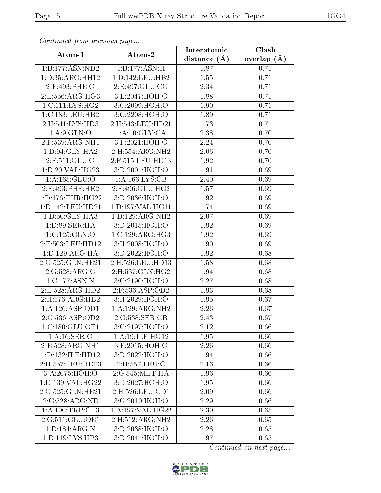| Continuati prom previous page |                              | Interatomic       | Clash           |
|-------------------------------|------------------------------|-------------------|-----------------|
| Atom-1                        | Atom-2                       | distance $(A)$    | overlap $(\AA)$ |
| 1:B:177:ASN:ND2               | 1:B:177:ASN:H                | 1.87              | 0.71            |
| 1: D: 35: ARG: HH12           | 1:D:142:LEU:HB2              | 1.55              | 0.71            |
| $2.E.493.PHE.$ O              | 2: E: 497: GLU: CG           | 2.34              | 0.71            |
| 2: E: 556: ARG: HG3           | 3:E:2047:HOH:O               | 1.88              | 0.71            |
| 1:C:111:LYS:HG2               | 3:C:2099:HOH:O               | 1.90              | 0.71            |
| 1:C:183:LEU:HB2               | 3:C:2208:HOH:O               | 1.89              | 0.71            |
| 2: H: 541: LYS: HD3           | 2:H:543:LEU:HD21             | 1.73              | 0.71            |
| 1: A:9: GLN:O                 | 1: A:10: GLY:CA              | 2.38              | 0.70            |
| $2:$ F:539:ARG:NH1            | 3:F:2021:HOH:O               | 2.24              | 0.70            |
| 1:D:94:GLY:HA2                | 2:H:554:ARG:NH2              | 2.06              | 0.70            |
| 2:F:511:GLU:O                 | 2:F:515:LEU:HD13             | 1.92              | 0.70            |
| 1:D:20:VAL:HG23               | 3:D:2001:HOH:O               | 1.91              | 0.69            |
| 1:A:165:GLU:O                 | 1: A: 166: LYS: CB           | 2.40              | 0.69            |
| 2:E:493:PHE:HE2               | 2: E:496: GLU: HG2           | 1.57              | 0.69            |
| 1: D: 176: THR: HG22          | 3:D:2036:HOH:O               | 1.92              | 0.69            |
| 1: D: 142: LEU: HD21          | 1:D:197:VAL:HG11             | 1.74              | 0.69            |
| 1:D:50:GLY:HA3                | 1:D:129:ARG:NH2              | 2.07              | 0.69            |
| 1: D:89: SER: HA              | 3:D:2015:HOH:O               | 1.92              | 0.69            |
| 1:C:125:GLN:O                 | $1:C:129:ARG:\overline{HG3}$ | $\overline{1.92}$ | 0.69            |
| 2:E:503:LEU:HD12              | 3:H:2008:HOH:O               | 1.90              | 0.69            |
| 1: D: 129: ARG: HA            | 3:D:2022:HOH:O               | 1.92              | 0.68            |
| 2:G:525:GLN:HE21              | 2:H:526:LEU:HD13             | 1.58              | 0.68            |
| 2:G:528:ARG:O                 | 2:H:537:GLN:HG2              | 1.94              | 0.68            |
| 1:C:177:ASN:N                 | 3:C:2190:HOH:O               | 2.27              | 0.68            |
| 2: E: 528: ARG: HD2           | 2:F:536:ASP:OD2              | 1.93              | 0.68            |
| 2:H:576:ARG:HB2               | 3: H: 2029: HOH:O            | 1.95              | 0.67            |
| 1:A:126:ASP:OD1               | 1:A:129:ARG:NH2              | 2.26              | 0.67            |
| 2:G:536:ASP:OD2               | 2:G:538:SER:CB               | 2.43              | 0.67            |
| 1:C:180:GLU:OE1               | 3:C:2197:HOH:O               | 2.12              | 0.66            |
| 1: A: 16: SER: O              | 1:A:19:ILE:HG12              | 1.95              | 0.66            |
| 2:E:528:ARG:NH1               | 3:E:2015:HOH:O               | 2.26              | 0.66            |
| 1:D:132:ILE:HD12              | 3:D:2022:HOH:O               | 1.94              | 0.66            |
| 2:H:557:LEU:HD23              | 2:H:557:LEU:C                | 2.16              | 0.66            |
| $3:A:2075:\overline{HOH:O}$   | 2:G:545:MET:HA               | 1.96              | 0.66            |
| 1:D:139:VAL:HG22              | 3:D:2027:HOH:O               | 1.95              | 0.66            |
| 2:G:525:GLN:HE21              | 2:H:526:LEU:CD1              | 2.09              | 0.66            |
| 2:G:528:ARG:NE                | 3:G:2010:HOH:O               | 2.29              | 0.66            |
| 1: A: 100: TRP: CE3           | 1:A:197:VAL:HG22             | 2.30              | 0.65            |
| 2:G:511:GLU:OE1               | 2:H:512:ARG:NH2              | 2.26              | 0.65            |
| 1: D: 184: ARG: N             | 3:D:2038:HOH:O               | 2.28              | 0.65            |
| 1: D: 119: LYS: HB3           | 3:D:2041:HOH:O               | 1.97              | 0.65            |

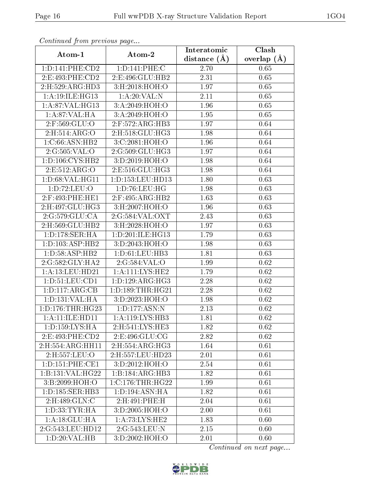| Continuati prom previous page          |                      | Interatomic    | Clash         |
|----------------------------------------|----------------------|----------------|---------------|
| Atom-1                                 | Atom-2               | distance $(A)$ | overlap $(A)$ |
| 1: D: 141: PHE: CD2                    | 1:D:141:PHE:C        | 2.70           | 0.65          |
| 2: E:493: PHE:CD2                      | 2:E:496:GLU:HB2      | 2.31           | 0.65          |
| 2: H:529: ARG: HD3                     | 3:H:2018:HOH:O       | 1.97           | 0.65          |
| 1: A:19: ILE: HG13                     | 1: A:20: VAL:N       | 2.11           | 0.65          |
| 1: A:87: VAL:HG13                      | 3:A:2049:HOH:O       | 1.96           | 0.65          |
| 1:A:87:VAL:HA                          | 3:A:2049:HOH:O       | 1.95           | 0.65          |
| $2:$ F:569:GLU:O                       | 2:F:572:ARG:HB3      | 1.97           | 0.64          |
| 2: H: 514: ARG: O                      | 2:H:518:GLU:HG3      | 1.98           | 0.64          |
| 1:C:66:ASN:HB2                         | 3:C:2081:HOH:O       | 1.96           | 0.64          |
| 2:G:505:VAL:O                          | 2:G:509:GLU:HG3      | 1.97           | 0.64          |
| $1: D: 106: \overline{\text{CYS:HB2}}$ | 3:D:2019:HOH:O       | 1.98           | 0.64          |
| 2:E:512:ARG:O                          | 2: E: 516: GLU: HG3  | 1.98           | 0.64          |
| 1: D:68: VAL:HGI1                      | 1:D:153:LEU:HD13     | 1.80           | 0.63          |
| 1: D: 72: LEU: O                       | 1: D: 76: LEU: HG    | 1.98           | 0.63          |
| 2:F:493:PHE:HE1                        | 2:F:495:ARG:HB2      | 1.63           | 0.63          |
| 2:H:497:GLU:HG3                        | 3:H:2007:HOH:O       | 1.96           | 0.63          |
| 2:G:579:GLU:CA                         | 2:G:584:VAL:OXT      | 2.43           | 0.63          |
| 2:H:569:GLU:HB2                        | 3:H:2028:HOH:O       | 1.97           | 0.63          |
| 1: D: 178: SER: HA                     | 1:D:201:ILE:HG13     | 1.79           | 0.63          |
| 1: D: 103: ASP: HB2                    | 3:D:2043:HOH:O       | 1.98           | 0.63          |
| 1: D:58: ASP:HB2                       | 1: D:61: LEU:HB3     | 1.81           | 0.63          |
| 2:G:582:GLY:HA2                        | 2:G:584:VAL:O        | 1.99           | 0.62          |
| 1:A:13:LEU:HD21                        | 1: A: 111: LYS: HE2  | 1.79           | 0.62          |
| 1: D: 51: LEU: CD1                     | 1: D: 129: ARG: HG3  | 2.28           | 0.62          |
| 1: D: 117: ARG: CB                     | 1: D: 189: THR: HG21 | 2.28           | 0.62          |
| 1: D: 131: VAL: HA                     | 3:D:2023:HOH:O       | 1.98           | 0.62          |
| 1: D: 176: THR: HG23                   | 1: D: 177: ASN: N    | 2.13           | 0.62          |
| 1:A:11:ILE:HD11                        | 1:A:119:LYS:HB3      | 1.81           | 0.62          |
| 1: D: 159: LYS: HA                     | 2:H:541:LYS:HE3      | 1.82           | 0.62          |
| 2:E:493:PHE:CD2                        | 2:E:496:GLU:CG       | 2.82           | 0.62          |
| $2: H: 554: A\overline{RG:HH11}$       | 2: H: 554: ARG: HG3  | 1.64           | 0.61          |
| 2:H:557:LEU:O                          | 2:H:557:LEU:HD23     | 2.01           | 0.61          |
| 1: D: 151: PHE: CE1                    | 3: D:2012: HOH:O     | 2.54           | 0.61          |
| 1:B:131:VAL:HG22                       | 1:B:184:ARG:HB3      | 1.82           | 0.61          |
| 3:B:2099:HOH:O                         | 1:C:176:THR:HG22     | 1.99           | 0.61          |
| 1: D: 185: SER: HB3                    | 1:D:194:ASN:HA       | 1.82           | 0.61          |
| 2:H:489:GLN:C                          | 2:H:491:PHE:H        | 2.04           | 0.61          |
| 1: D: 33: TYR: HA                      | 3:D:2005:HOH:O       | 2.00           | 0.61          |
| 1:A:18:GLU:HA                          | 1:A:73:LYS:HE2       | 1.83           | 0.60          |
| 2:G:543:LEU:HD12                       | 2:G:543:LEU:N        | 2.15           | 0.60          |
| 1:D:20:VAL:HB                          | 3:D:2002:HOH:O       | 2.01           | 0.60          |

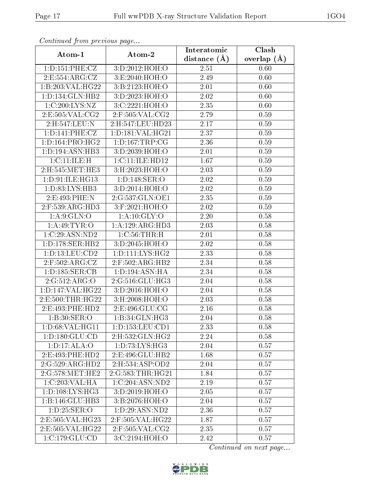| Continuation provided pugato |                           | Interatomic       | Clash         |  |
|------------------------------|---------------------------|-------------------|---------------|--|
| Atom-1                       | Atom-2                    | distance $(A)$    | overlap $(A)$ |  |
| 1: D: 151: PHE: CZ           | 3:D:2012:HOH:O            | 2.51              | 0.60          |  |
| 2:E:554:ARG:CZ               | 3:E:2040:HOH:O            | 2.49              | 0.60          |  |
| 1:B:203:VAL:HG22             | 3: B: 2123: HOH:O         | 2.01              | 0.60          |  |
| 1: D: 134: GLN: HB2          | 3:D:2023:HOH:O            | 2.02              | 0.60          |  |
| 1:C:200:LYS:NZ               | 3:C:2221:HOH:O            | 2.35              | 0.60          |  |
| 2: E: 505: VAL: CG2          | $2:$ F:505:VAL:CG2        | 2.79              | 0.59          |  |
| 2:H:547:LEU:N                | 2:H:547:LEU:HD23          | 2.17              | 0.59          |  |
| 1: D: 141: PHE: CZ           | 1: D: 181: VAL: HG21      | 2.37              | 0.59          |  |
| 1: D: 164: PRO:HG2           | 1: D: 167: TRP: CG        | 2.36              | 0.59          |  |
| 1: D: 194: ASN: HB3          | 3:D:2039:HOH:O            | 2.01              | 0.59          |  |
| 1:C:11:ILE:H                 | 1:C:11:ILE:HD12           | 1.67              | 0.59          |  |
| 2:H:545:MET:HE3              | 3: H:2023:HOH:O           | 2.03              | 0.59          |  |
| 1: D:91: ILE: HG13           | 1: D: 148: SER: O         | 2.02              | 0.59          |  |
| 1:D:83:LYS:HB3               | 3:D:2014:HOH:O            | 2.02              | 0.59          |  |
| 2:E:493:PHE:N                | 2:G:537:GLN:OE1           | 2.35              | 0.59          |  |
| $2:$ F:539:ARG:HD3           | 3:F:2021:HOH:O            | 2.02              | 0.59          |  |
| 1: A:9: GLN:O                | 1: A:10: GLY:O            | 2.20              | 0.58          |  |
| 1: A:49: TYR:O               | 1:A:129:ARG:HD3           | 2.03              | 0.58          |  |
| 1:C:29:ASN:ND2               | 1: C:56:THR:H             | 2.01              | 0.58          |  |
| 1: D: 178: SER: HB2          | 3:D:2045:HOH:O            | 2.02              | 0.58          |  |
| 1:D:13:LEU:CD2               | 1: D: 111: LYS: HG2       | $\overline{2.33}$ | 0.58          |  |
| 2:F:502:ARG:CZ               | 2:F:502:ARG:HB2           | 2.34              | 0.58          |  |
| 1: D: 185: SER: CB           | 1:D:194:ASN:HA            | 2.34              | 0.58          |  |
| 2:G:512:ARG:O                | 2:G:516:GLU:HG3           | 2.04              | 0.58          |  |
| 1:D:147:VAL:HG22             | 3:D:2016:HOH:O            | 2.04              | 0.58          |  |
| 2:E:500:THR:HG22             | $3:$ H $:2008:$ HOH $:$ O | 2.03              | 0.58          |  |
| 2:E:493:PHE:HD2              | 2: E: 496: GLU: CG        | 2.16              | 0.58          |  |
| 1: B:30: SER:O               | 1:B:34:GLN:HG3            | 2.04              | 0.58          |  |
| 1: D:68: VAL:HGI1            | 1: D: 153: LEU: CD1       | 2.33              | 0.58          |  |
| 1: D: 180: GLU: CD           | 2:H:532:GLN:HG2           | 2.24              | 0.58          |  |
| 1: D: 17: ALA: O             | 1: D: 73: LYS: HG3        | 2.04              | 0.57          |  |
| 2:E:493:PHE:HD2              | 2:E:496:GLU:HB2           | 1.68              | 0.57          |  |
| 2:G:529:ARG:HD2              | 2: H: 534: ASP: OD2       | 2.04              | 0.57          |  |
| 2:G:578:MET:HE2              | 2:G:583:THR:HG21          | 1.84              | 0.57          |  |
| 1:C:203:VAL:HA               | 1:C:204:ASN:ND2           | 2.19              | 0.57          |  |
| 1: D: 108: LYS: HG3          | 3:D:2019:HOH:O            | 2.05              | 0.57          |  |
| 1:B:146:GLU:HB3              | 3: B: 2076: HOH:O         | 2.04              | 0.57          |  |
| 1: D: 25: SER: O             | 1: D: 29: ASN: ND2        | 2.36              | 0.57          |  |
| 2:E:505:VAL:HG23             | 2:F:505:VAL:HG22          | 1.87              | 0.57          |  |
| 2:E:505:VAL:HG22             | $2:$ F:505:VAL:CG2        | 2.35              | 0.57          |  |
| 1:C:179:GLU:CD               | 3:C:2194:HOH:O            | 2.42              | 0.57          |  |

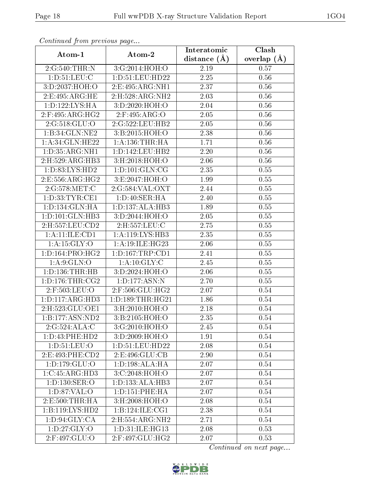| Communica from precious page      |                                     | Interatomic       | Clash           |
|-----------------------------------|-------------------------------------|-------------------|-----------------|
| Atom-1                            | Atom-2                              | distance $(A)$    | overlap $(\AA)$ |
| 2:G:540:THR:N                     | 3:G:2014:HOH:O                      | 2.19              | 0.57            |
| 1: D: 51: LEU: C                  | 1:D:51:LEU:HD22                     | $\overline{2.25}$ | 0.56            |
| 3:D:2037:HOH:O                    | 2: E: 495: ARG: NH1                 | 2.37              | 0.56            |
| 2:E:495:ARG:HE                    | 2: H: 528: ARG: NH2                 | 2.03              | 0.56            |
| 1: D: 122: LYS: HA                | 3:D:2020:HOH:O                      | 2.04              | 0.56            |
| 2:F:495:ARG:HG2                   | $2:$ F:495:ARG:O                    | 2.05              | 0.56            |
| 2:G:518:GLU:O                     | 2:G:522:LEU:HB2                     | 2.05              | 0.56            |
| 1:B:34:GLN:NE2                    | 3:B:2015:HOH:O                      | 2.38              | 0.56            |
| 1:A:34:GLN:HE22                   | 1: A: 136: THR: HA                  | 1.71              | 0.56            |
| 1: D: 35: ARG: NH1                | 1:D:142:LEU:HB2                     | 2.20              | 0.56            |
| 2:H:529:ARG:HB3                   | 3:H:2018:HOH:O                      | 2.06              | $0.56\,$        |
| 1: D: 83: LYS: HD2                | 1: D: 101: GLN: CG                  | 2.35              | $0.55\,$        |
| 2: E: 556: ARG: HG2               | 3:E:2047:HOH:O                      | 1.99              | $0.55\,$        |
| 2:G:578:MET:C                     | 2:G:584:VAL:OXT                     | 2.44              | 0.55            |
| 1: D: 33: TYR: CE1                | 1:D:40:SER:HA                       | 2.40              | 0.55            |
| 1: D: 134: GLN: HA                | 1:D:137:ALA:HB3                     | 1.89              | 0.55            |
| 1:D:101:GLN:HB3                   | 3:D:2044:HOH:O                      | 2.05              | 0.55            |
| 2:H:557:LEU:CD2                   | 2:H:557:LEU:C                       | 2.75              | 0.55            |
| $1:A:11:\overline{\text{LE:CD1}}$ | $1:A:119:\overline{\text{LYS:HB3}}$ | 2.35              | 0.55            |
| 1: A:15: GLY:O                    | 1: A:19: ILE: HG23                  | 2.06              | 0.55            |
| 1: D: 164: PRO:HG2                | 1: D: 167: TRP: CD1                 | 2.41              | 0.55            |
| 1: A:9: GLN:O                     | 1: A: 10: GLY: C                    | 2.45              | 0.55            |
| 1: D: 136: THR: HB                | 3:D:2024:HOH:O                      | 2.06              | 0.55            |
| 1: D: 176: THR: CG2               | 1:D:177:ASN:N                       | 2.70              | 0.55            |
| 2:F:503:LEU:O                     | 2:F:506:GLU:HG2                     | 2.07              | 0.54            |
| 1: D: 117: ARG: HD3               | 1: D: 189: THR: HG21                | 1.86              | 0.54            |
| 2: H: 523: GLU: OE1               | 3:H:2010:HOH:O                      | 2.18              | 0.54            |
| 1:B:177:ASN:ND2                   | 3:B:2105:HOH:O                      | 2.35              | 0.54            |
| 2:G:524:ALA:C                     | 3:G:2010:HOH:O                      | 2.45              | 0.54            |
| 1:D:43:PHE:HD2                    | 3: D:2009:HOH:O                     | 1.91              | 0.54            |
| 1: D: 51: LEU: O                  | 1:D:51:LEU:HD22                     | 2.08              | 0.54            |
| 2:E:493:PHE:CD2                   | 2:E:496:GLU:CB                      | 2.90              | 0.54            |
| 1: D: 179: GLU: O                 | 1: D: 198: ALA: HA                  | 2.07              | 0.54            |
| 1:C:45:ARG:HD3                    | $3:C:2048:\overline{HOH:O}$         | 2.07              | 0.54            |
| 1: D: 130: SER: O                 | $1:D:133:ALA:H\overline{B3}$        | 2.07              | 0.54            |
| 1: D:87: VAL:O                    | 1:D:151:PHE:HA                      | 2.07              | 0.54            |
| 2: E: 500: THR: HA                | 3:H:2008:HOH:O                      | 2.08              | 0.54            |
| 1:B:119:LYS:HD2                   | 1:B:124:ILE:CG1                     | 2.38              | 0.54            |
| 1: D:94: GLY: CA                  | 2:H:554:ARG:NH2                     | 2.71              | 0.54            |
| 1: D: 27: GLY: O                  | 1: D:31: ILE: HG13                  | 2.08              | 0.53            |
| 2:F:497:GLU:O                     | 2:F:497:GLU:HG2                     | 2.07              | 0.53            |

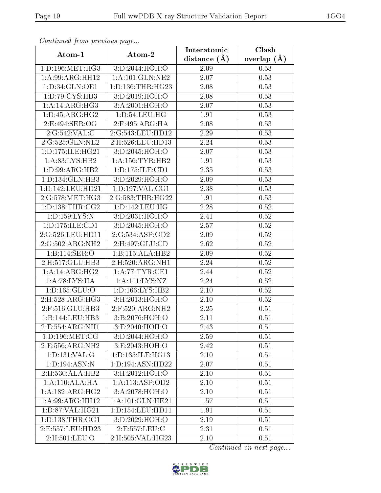| Communa from previous page   |                           | Interatomic       | Clash             |  |
|------------------------------|---------------------------|-------------------|-------------------|--|
| Atom-1                       | Atom-2                    | distance $(A)$    | overlap $(\AA)$   |  |
| 1: D: 196: MET:HG3           | 3:D:2044:HOH:O            | 2.09              | 0.53              |  |
| 1:A:99:ARG:HH12              | 1: A:101: GLN:NE2         | 2.07              | 0.53              |  |
| 1: D: 34: GLN: OE1           | 1: D: 136: THR: HG23      | $2.08\,$          | 0.53              |  |
| 1: D: 79: CYS: HB3           | 3:D:2019:HOH:O            | 2.08              | 0.53              |  |
| 1: A:14: ARG:HG3             | 3:A:2001:HOH:O            | 2.07              | 0.53              |  |
| 1: D: 45: ARG: HG2           | 1: D: 54: LEU: HG         | 1.91              | 0.53              |  |
| 2:E:494:SER:OG               | $2:$ F:495:ARG:HA         | 2.08              | 0.53              |  |
| 2:G:542:VAL:C                | 2:G:543:LEU:HD12          | 2.29              | 0.53              |  |
| 2:G:525:GLN:NE2              | 2:H:526:LEU:HD13          | 2.24              | 0.53              |  |
| 1:D:175:ILE:HG21             | 3:D:2045:HOH:O            | 2.07              | 0.53              |  |
| 1: A:83: LYS: HB2            | 1: A: 156: TYR: HB2       | 1.91              | 0.53              |  |
| 1: D:99: ARG: HB2            | 1: D: 175: ILE: CD1       | 2.35              | 0.53              |  |
| 1:D:134:GLN:HB3              | 3:D:2029:HOH:O            | 2.09              | 0.53              |  |
| 1:D:142:LEU:HD21             | 1: D: 197: VAL: CG1       | 2.38              | 0.53              |  |
| 2:G:578:MET:HG3              | 2:G:583:THR:HG22          | 1.91              | 0.53              |  |
| 1: D: 138: THR: CG2          | 1: D: 142: LEU: HG        | 2.28              | 0.52              |  |
| 1: D: 159: LYS: N            | 3:D:2031:HOH:O            | 2.41              | 0.52              |  |
| 1: D: 175: ILE: CD1          | 3:D:2045:HOH:O            | 2.57              | 0.52              |  |
| 2:G:526:LEU:HD11             | 2:G:534:ASP:OD2           | 2.09              | 0.52              |  |
| 2:G:502:ARG:NH2              | 2:H:497:GLU:CD            | 2.62              | 0.52              |  |
| 1:B:114:SER:O                | 1:B:115:ALA:HB2           | $\overline{2.09}$ | 0.52              |  |
| 2:H:517:GLU:HB3              | 2: H: 520: ARG: NH1       | 2.24              | 0.52              |  |
| $1:A:14:ARG:H\overline{G2}$  | 1: A:77:TYR:CE1           | 2.44              | 0.52              |  |
| 1:A:78:LYS:HA                | 1:A:111:LYS:NZ            | 2.24              | 0.52              |  |
| 1: D: 165: GLU: O            | 1: D: 166: LYS: HB2       | 2.10              | 0.52              |  |
| 2: H: 528: ARG: HG3          | $3:$ H $:2013:$ HOH $:$ O | 2.10              | 0.52              |  |
| 2:F:516:GLU:HB3              | 2:F:520:ARG:NH2           | 2.25              | 0.51              |  |
| 1:B:144:LEU:HB3              | 3:B:2076:HOH:O            | 2.11              | 0.51              |  |
| 2:E:554:ARG:NH1              | 3:E:2040:HOH:O            | 2.43              | 0.51              |  |
| 1: D: 196: MET: CG           | 3:D:2044:HOH:O            | 2.59              | 0.51              |  |
| 2:E:556:ARG:NH2              | 3:E:2043:HOH:O            | 2.42              | 0.51              |  |
| 1: D: 131: VAL: O            | 1:D:135:ILE:HG13          | 2.10              | 0.51              |  |
| 1:D:194:ASN:N                | 1:D:194:ASN:HD22          | 2.07              | $\overline{0.51}$ |  |
| 2:H:530:ALA:HB2              | 3:H:2012:HOH:O            | 2.10              | 0.51              |  |
| 1: A:110:ALA:HA              | 1: A:113: ASP:OD2         | 2.10              | 0.51              |  |
| 1:A:182:ARG:HG2              | 3:A:2078:HOH:O            | 2.10              | 0.51              |  |
| $1:A:99:ARG:H\overline{H12}$ | 1: A:101: GLN: HE21       | 1.57              | 0.51              |  |
| 1:D:87:VAL:HG21              | 1:D:154:LEU:HD11          | 1.91              | 0.51              |  |
| 1: D: 138: THR: OG1          | 3: D: 2029: HOH:O         | 2.19              | 0.51              |  |
| 2:E:557:LEU:HD23             | 2:E:557:LEU:C             | 2.31              | 0.51              |  |
| 2:H:501:LEU:O                | 2:H:505:VAL:HG23          | 2.10              | 0.51              |  |

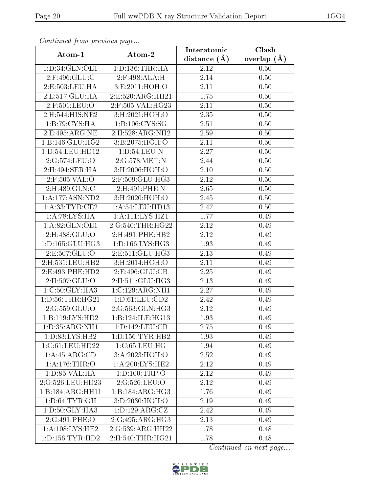| Commaca from previous page |                     | Interatomic       | Clash         |
|----------------------------|---------------------|-------------------|---------------|
| Atom-1                     | Atom-2              | distance $(A)$    | overlap $(A)$ |
| 1:D:34:GLN:OE1             | 1: D: 136: THR: HA  | 2.12              | 0.50          |
| 2:F:496:GLU:C              | 2:F:498:ALA:H       | 2.14              | 0.50          |
| 2:E:503:LEU:HA             | 3: E:2011: HOH:O    | 2.11              | 0.50          |
| 2:E:517:GLU:HA             | 2:E:520:ARG:HH21    | 1.75              | 0.50          |
| 2:F:501:LEU:O              | 2:F:505:VAL:HG23    | 2.11              | 0.50          |
| 2:H:544:HIS:NE2            | 3:H:2021:HOH:O      | 2.35              | 0.50          |
| 1:B:79:CYS:HA              | 1:B:106:CYS:SG      | 2.51              | 0.50          |
| 2:E:495:ARG:NE             | 2:H:528:ARG:NH2     | 2.59              | 0.50          |
| 1:B:146:GLU:HG2            | 3:B:2075:HOH:O      | 2.11              | 0.50          |
| 1: D:54:LEU:HD12           | 1: D: 54: LEU: N    | 2.27              | 0.50          |
| 2:G:574:LEU:O              | 2:G:578:MET:N       | 2.44              | 0.50          |
| 2:H:494:SER:HA             | 3: H:2006:HOH:O     | 2.10              | 0.50          |
| 2:F:505:VAL:O              | 2:F:509:GLU:HG3     | 2.12              | 0.50          |
| 2:H:489:GLN:C              | 2:H:491:PHE:N       | 2.65              | 0.50          |
| 1:A:177:ASN:ND2            | 3:H:2020:HOH:O      | 2.45              | 0.50          |
| 1: A:33: TYR: CE2          | 1: A:54:LEU:HD13    | 2.47              | 0.50          |
| 1:A:78:LYS:HA              | 1: A: 111: LYS: HZ1 | 1.77              | 0.49          |
| 1: A:82: GLN: OE1          | 2:G:540:THR:HG22    | 2.12              | 0.49          |
| 2:H:488:GLU:O              | 2:H:491:PHE:HB2     | 2.12              | 0.49          |
| 1: D: 165: GLU: HG3        | 1: D: 166: LYS: HG3 | 1.93              | 0.49          |
| 2:E:507:GLU:O              | 2: E: 511: GLU: HG3 | 2.13              | 0.49          |
| 2:H:531:LEU:HB2            | 3:H:2014:HOH:O      | 2.11              | 0.49          |
| 2:E:493:PHE:HD2            | 2:E:496:GLU:CB      | 2.25              | 0.49          |
| 2:H:507:GLU:O              | 2:H:511:GLU:HG3     | $\overline{2}.13$ | 0.49          |
| 1:C:50:GLY:HA3             | 1:C:129:ARG:NH1     | 2.27              | 0.49          |
| 1: D: 56: THR: HG21        | 1: D: 61: LEU: CD2  | 2.42              | 0.49          |
| 2:G:559:GLU:O              | 2:G:563:GLN:HG3     | 2.12              | 0.49          |
| 1:B:119:LYS:HD2            | 1:B:124:ILE:HG13    | 1.93              | 0.49          |
| 1:D:35:ARG:NH1             | 1:D:142:LEU:CB      | 2.75              | 0.49          |
| 1:D:83:LYS:HB2             | 1: D: 156: TYR: HB2 | 1.93              | 0.49          |
| 1:C:61:LEU:HD22            | 1:C:65:LEU:HG       | 1.94              | 0.49          |
| 1:A:45:ARG:CD              | 3:A:2023:HOH:O      | 2.52              | 0.49          |
| 1: A:176:THR:O             | 1: A:200: LYS: HE2  | 2.12              | 0.49          |
| 1: D: 85: VAL:HA           | 1:D:100:TRP:O       | 2.12              | 0.49          |
| 2:G:526:LEU:HD23           | 2:G:526:LEU:O       | 2.12              | 0.49          |
| 1:B:184:ARG:HH11           | 1:B:184:ARG:HG3     | 1.76              | 0.49          |
| 1: D:64: TYR:OH            | 3:D:2030:HOH:O      | 2.19              | 0.49          |
| 1:D:50:GLY:HA3             | 1: D: 129: ARG: CZ  | 2.42              | 0.49          |
| 2:G:491:PHE:O              | 2:G:495:ARG:HG3     | 2.13              | 0.49          |
| 1: A:108:LYS:HE2           | 2:G:539:ARG:HH22    | 1.78              | 0.48          |
| 1: D: 156: TYR: HD2        | 2:H:540:THR:HG21    | 1.78              | 0.48          |

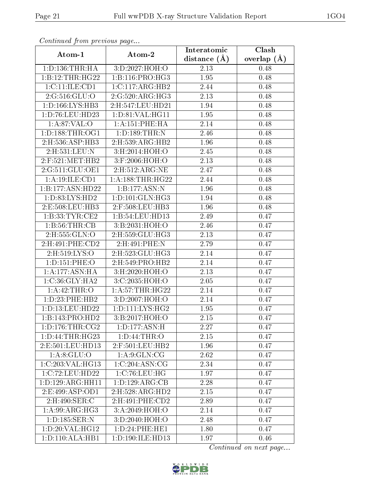| Commaca from previous page |                      | Interatomic    | $\overline{\text{Clash}}$ |  |
|----------------------------|----------------------|----------------|---------------------------|--|
| Atom-1                     | Atom-2               | distance $(A)$ | overlap $(A)$             |  |
| 1: D: 136: THR: HA         | 3:D:2027:HOH:O       | 2.13           | 0.48                      |  |
| 1:B:12:THR:HG22            | 1:B:116:PRO:HG3      | 1.95           | 0.48                      |  |
| 1: C: 11: ILE: CD1         | 1:C:117:ARG:HB2      | 2.44           | 0.48                      |  |
| 2:G:516:GLU:O              | 2:G:520:ARG:HG3      | 2.13           | 0.48                      |  |
| 1: D: 166: LYS: HB3        | 2:H:547:LEU:HD21     | 1.94           | 0.48                      |  |
| 1:D:76:LEU:HD23            | 1: D: 81: VAL:HGI1   | 1.95           | 0.48                      |  |
| 1:A:87:VAL:O               | 1:A:151:PHE:HA       | 2.14           | 0.48                      |  |
| 1: D: 188: THR: OG1        | 1: D: 189: THR:N     | 2.46           | 0.48                      |  |
| 2:H:536:ASP:HB3            | 2:H:539:ARG:HB2      | 1.96           | 0.48                      |  |
| 2:H:531:LEU:N              | 3:H:2014:HOH:O       | 2.45           | 0.48                      |  |
| 2:F:521:MET:HB2            | 3:F:2006:HOH:O       | 2.13           | 0.48                      |  |
| 2:G:511:GLU:OE1            | 2: H: 512: ARG: NE   | 2.47           | 0.48                      |  |
| 1:A:19:ILE:CD1             | 1: A: 188: THR: HG22 | 2.44           | 0.48                      |  |
| 1:B:177:ASN:HD22           | 1:B:177:ASN:N        | 1.96           | 0.48                      |  |
| 1:D:83:LYS:HD2             | 1: D: 101: GLN: HG3  | 1.94           | 0.48                      |  |
| 2:E:508:LEU:HB3            | 2:F:508:LEU:HB3      | 1.96           | 0.48                      |  |
| 1:B:33:TYR:CE2             | 1:B:54:LEU:HD13      | 2.49           | 0.47                      |  |
| 1: B: 56: THR: CB          | 3:B:2031:HOH:O       | 2.46           | 0.47                      |  |
| 2:H:555:GLN:O              | 2:H:559:GLU:HG3      | 2.13           | 0.47                      |  |
| 2:H:491:PHE:CD2            | 2:H:491:PHE:N        | 2.79           | 0.47                      |  |
| 2:H:519:LYS:O              | 2:H:523:GLU:HG3      | 2.14           | 0.47                      |  |
| 1: D: 151: PHE: O          | 2:H:549:PRO:HB2      | 2.14           | 0.47                      |  |
| 1:A:177:ASN:HA             | 3:H:2020:HOH:O       | 2.13           | 0.47                      |  |
| 1:C:36:GLY:HA2             | 3:C:2035:HOH:O       | 2.05           | 0.47                      |  |
| 1: A: 42: THR:O            | 1: A:57:THR:HG22     | 2.14           | 0.47                      |  |
| 1: D: 23: PHE: HB2         | 3:D:2007:HOH:O       | 2.14           | 0.47                      |  |
| 1:D:13:LEU:HD22            | 1: D: 111: LYS: HG2  | 1.95           | 0.47                      |  |
| 1:B:143:PRO:HD2            | 3:B:2017:HOH:O       | 2.15           | 0.47                      |  |
| 1: D: 176: THR: CG2        | 1: D: 177: ASN: H    | 2.27           | 0.47                      |  |
| 1: D: 44: THR: HG23        | 1: D:44:THR:O        | 2.15           | 0.47                      |  |
| 2:E:501:LEU:HD13           | $2:$ F:501:LEU:HB2   | 1.96           | 0.47                      |  |
| 1: A:8: GLU:O              | 1: A:9: GLN: CG      | 2.62           | 0.47                      |  |
| 1:C:203:VAL:HG13           | 1:C:204:ASN:CG       | 2.34           | 0.47                      |  |
| 1:C:72:LEU:HD22            | 1:C:76:LEU:HG        | 1.97           | 0.47                      |  |
| 1:D:129:ARG:HH11           | 1: D: 129: ARG: CB   | 2.28           | 0.47                      |  |
| 2:E:499:ASP:OD1            | 2:H:528:ARG:HD2      | 2.15           | 0.47                      |  |
| 2:H:490:SER:C              | 2:H:491:PHE:CD2      | 2.89           | 0.47                      |  |
| 1: A:99: ARG: HG3          | 3:A:2049:HOH:O       | 2.14           | 0.47                      |  |
| 1:D:185:SER:N              | 3:D:2040:HOH:O       | 2.48           | 0.47                      |  |
| 1:D:20:VAL:HG12            | 1: D: 24: PHE: HE1   | 1.80           | 0.47                      |  |
| 1: D: 110: ALA: HB1        | 1:D:190:ILE:HD13     | 1.97           | 0.46                      |  |

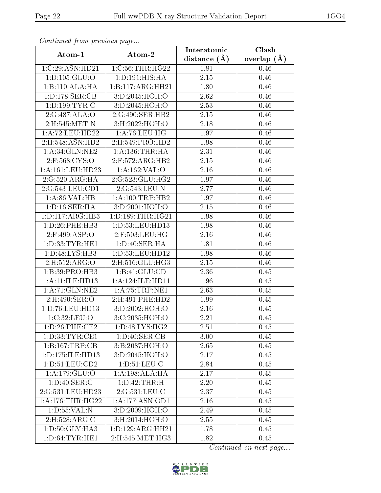| Continuea from previous page |                               | Interatomic       | Clash           |
|------------------------------|-------------------------------|-------------------|-----------------|
| Atom-1                       | Atom-2                        | distance $(A)$    | overlap $(\AA)$ |
| 1:C:29:ASN:HD21              | $1:C:56$ : THR: H $G22$       | 1.81              | 0.46            |
| 1: D: 105: GLU: O            | 1: D: 191: HIS: HA            | $\overline{2.15}$ | 0.46            |
| 1:B:110:ALA:HA               | 1:B:117:ARG:HH21              | 1.80              | 0.46            |
| 1:D:178:SER:CB               | 3:D:2045:HOH:O                | 2.62              | 0.46            |
| 1: D: 199: TYR: C            | 3:D:2045:HOH:O                | 2.53              | 0.46            |
| 2:G:487:ALA:O                | 2:G:490:SER:HB2               | 2.15              | 0.46            |
| 2:H:545:MET:N                | 3:H:2022:HOH:O                | 2.18              | 0.46            |
| 1:A:72:LEU:HD22              | 1: A:76: LEU: HG              | 1.97              | 0.46            |
| 2:H:548:ASN:HB2              | 2:H:549:PRO:HD2               | 1.98              | 0.46            |
| 1: A:34: GLN:NE2             | 1: A: 136: THR: HA            | 2.31              | 0.46            |
| 2:F:568:CYS:O                | 2:F:572:ARG:HB2               | 2.15              | 0.46            |
| 1:A:161:LEU:HD23             | 1:A:162:VAL:O                 | 2.16              | 0.46            |
| 2:G:520:ARG:HA               | 2:G:523:GLU:HG2               | 1.97              | 0.46            |
| 2:G:543:LEU:CD1              | 2:G:543:LEU:N                 | 2.77              | 0.46            |
| 1: A:86: VAL:HB              | 1:A:100:TRP:HB2               | 1.97              | 0.46            |
| 1: D: 16: SER: HA            | 3:D:2001:HOH:O                | 2.15              | 0.46            |
| 1: D: 117: ARG: HB3          | 1: D: 189: THR: HG21          | 1.98              | 0.46            |
| 1: D: 26: PHE: HB3           | 1: D: 53: LEU: HD13           | 1.98              | 0.46            |
| 2:F:499:ASP:O                | $2:$ F:503:LEU:HG             | 2.16              | 0.46            |
| 1: D: 33: TYR: HE1           | 1: D:40: SER: HA              | 1.81              | 0.46            |
| 1: D:48: LYS: HB3            | 1: D: 53: LEU: HD12           | 1.98              | 0.46            |
| 2:H:512:ARG:O                | 2:H:516:GLU:HG3               | 2.15              | 0.46            |
| 1:B:39:PRO:HB3               | 1:B:41:GLU:CD                 | 2.36              | 0.45            |
| 1:A:11:ILE:HD13              | 1: A:124: ILE: HD11           | 1.96              | 0.45            |
| 1: A:71: GLN:NE2             | 1:A:75:TRP:NE1                | 2.63              | 0.45            |
| 2:H:490:SER:O                | 2:H:491:PHE:HD2               | 1.99              | 0.45            |
| 1: D: 76: LEU: HD13          | 3:D:2002:HOH:O                | 2.16              | 0.45            |
| 1:C:32:LEU:O                 | 3:C:2035:HOH:O                | 2.21              | 0.45            |
| 1: D:26: PHE:CE2             | 1: D:48: LYS: H <sub>G2</sub> | 2.51              | 0.45            |
| 1: D: 33: TYR: CE1           | 1:D:40:SER:CB                 | 3.00              | 0.45            |
| 1:B:167:TRP:CB               | 3:B:2087:HOH:O                | 2.65              | 0.45            |
| 1:D:175:ILE:HD13             | 3:D:2045:HOH:O                | 2.17              | 0.45            |
| 1: D: 51: LEU: CD2           | 1: D: 51: LEU: C              | 2.84              | 0.45            |
| 1: A: 179: GLU:O             | 1:A:198:ALA:HA                | 2.17              | 0.45            |
| 1: D: 40: SER: C             | 1: D: 42: THR:H               | 2.20              | 0.45            |
| 2:G:531:LEU:HD23             | 2:G:531:LEU:C                 | 2.37              | 0.45            |
| 1: A:176:THR:HG22            | 1:A:177:ASN:OD1               | 2.16              | 0.45            |
| 1: D: 55: VAL: N             | 3:D:2009:HOH:O                | 2.49              | 0.45            |
| 2:H:528:ARG:C                | 3:H:2014:HOH:O                | 2.55              | 0.45            |
| 1:D:50:GLY:HA3               | 1: D: 129: ARG: HH21          | 1.78              | 0.45            |
| 1: D:64: TYR: HE1            | 2:H:545:MET:HG3               | 1.82              | 0.45            |

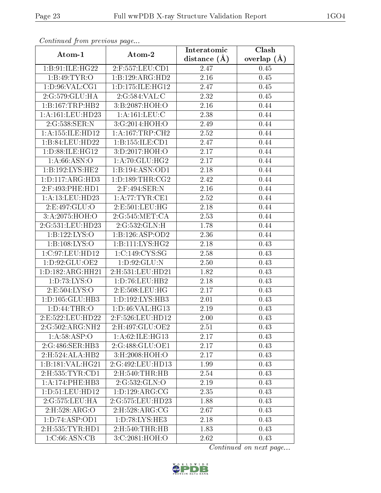| Communa from previous page   |                      | Interatomic    | Clash         |  |
|------------------------------|----------------------|----------------|---------------|--|
| Atom-1                       | Atom-2               | distance $(A)$ | overlap $(A)$ |  |
| 1:B:91:ILE:HG22              | 2:F:557:LEU:CD1      | 2.47           | 0.45          |  |
| 1:B:49:TYR:O                 | 1:B:129:ARG:HD2      | 2.16           | 0.45          |  |
| 1: D:96: VAL:CG1             | 1: D: 175: ILE: HG12 | 2.47           | 0.45          |  |
| 2:G:579:GLU:HA               | 2:G:584:VAL:C        | 2.32           | 0.45          |  |
| 1:B:167:TRP:HB2              | 3:B:2087:HOH:O       | 2.16           | 0.44          |  |
| 1: A: 161: LEU: HD23         | 1:A:161:LEU:C        | 2.38           | 0.44          |  |
| 2:G:538:SER:N                | 3:G:2014:HOH:O       | 2.49           | 0.44          |  |
| 1:A:155:ILE:HD12             | 1: A:167:TRP:CH2     | 2.52           | 0.44          |  |
| 1:B:84:LEU:HD22              | 1:B:155:ILE:CD1      | 2.47           | 0.44          |  |
| 1: D:88: ILE: HG12           | 3:D:2017:HOH:O       | 2.17           | 0.44          |  |
| 1: A:66: ASN:O               | 1:A:70:GLU:HG2       | 2.17           | 0.44          |  |
| 1:B:192:LYS:HE2              | 1:B:194:ASN:OD1      | 2.18           | 0.44          |  |
| 1: D: 117: ARG: HD3          | 1: D: 189: THR: CG2  | 2.42           | 0.44          |  |
| 2:F:493:PHE:HD1              | 2:F:494:SER:N        | 2.16           | 0.44          |  |
| 1:A:13:LEU:HD23              | 1: A:77:TYR:CE1      | 2.52           | 0.44          |  |
| 2:E:497:GLU:O                | 2: E: 501: LEU: HG   | 2.18           | 0.44          |  |
| 3:A:2075:HOH:O               | 2:G:545:MET:CA       | 2.53           | 0.44          |  |
| 2:G:531:LEU:HD23             | 2:G:532:GLN:H        | 1.78           | 0.44          |  |
| $1:B:122:\overline{LYS:O}$   | 1:B:126:ASP:OD2      | 2.36           | 0.44          |  |
| 1: B: 108: LYS: O            | 1: B: 111: LYS: HG2  | 2.18           | 0.43          |  |
| 1:C:97:LEU:HD12              | 1:C:149:CYS:SG       | 2.58           | 0.43          |  |
| 1:D:92:GLU:OE2               | 1: D:92: GLU:N       | 2.50           | 0.43          |  |
| 1:D:182:ARG:HH21             | 2:H:531:LEU:HD21     | 1.82           | 0.43          |  |
| 1: D: 73: LYS: O             | 1: D: 76: LEU: HB2   | 2.18           | 0.43          |  |
| 2:E:504:LYS:O                | 2:E:508:LEU:HG       | 2.17           | 0.43          |  |
| 1:D:105:GLU:HB3              | 1:D:192:LYS:HB3      | 2.01           | 0.43          |  |
| 1: D:44:THR:O                | 1: D: 46: VAL:HG13   | 2.19           | 0.43          |  |
| 2:E:522:LEU:HD22             | 2:F:526:LEU:HD12     | 2.00           | 0.43          |  |
| $2:G:502:A\overline{RG:NH2}$ | 2:H:497:GLU:OE2      | 2.51           | 0.43          |  |
| 1: A:58: ASP:O               | 1:A:62:ILE:HG13      | 2.17           | 0.43          |  |
| 2:G:486:SER:HB3              | 2:G:488:GLU:OE1      | 2.17           | 0.43          |  |
| 2:H:524:ALA:HB2              | 3: H: 2008: HOH:O    | 2.17           | 0.43          |  |
| 1:B:181:VAL:HG21             | 2:G:492:LEU:HD13     | 1.99           | 0.43          |  |
| 2:H:535:TYR:CD1              | 2:H:540:THR:HB       | 2.54           | 0.43          |  |
| 1:A:174:PHE:HB3              | 2:G:532:GLN:O        | 2.19           | 0.43          |  |
| 1:D:51:LEU:HD12              | 1: D: 129: ARG: CG   | 2.35           | 0.43          |  |
| 2:G:575:LEU:HA               | 2:G:575:LEU:HD23     | 1.88           | 0.43          |  |
| 2:H:528:ARG:O                | 2:H:528:ARG:CG       | 2.67           | 0.43          |  |
| 1:D:74:ASP:OD1               | 1: D: 78: LYS: HE3   | 2.18           | 0.43          |  |
| 2:H:535:TYR:HD1              | 2:H:540:THR:HB       | 1.83           | 0.43          |  |
| 1:C:66:ASN:CB                | 3:C:2081:HOH:O       | 2.62           | 0.43          |  |

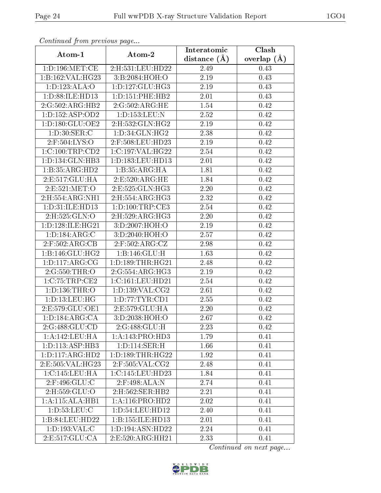| Continuata from previous page |                               | Interatomic    | Clash         |
|-------------------------------|-------------------------------|----------------|---------------|
| Atom-1                        | Atom-2                        | distance $(A)$ | overlap $(A)$ |
| 1: D: 196: MET:CE             | 2:H:531:LEU:HD22              | 2.49           | 0.43          |
| 1:B:162:VAL:HG23              | 3:B:2084:HOH:O                | 2.19           | 0.43          |
| 1:D:123:ALA:O                 | 1: D: 127: GLU: HG3           | 2.19           | 0.43          |
| 1: D: 88: ILE: HD13           | 1: D: 151: PHE: HB2           | 2.01           | 0.43          |
| 2:G:502:ARG:HB2               | 2:G:502:ARG:HE                | 1.54           | 0.42          |
| 1: D: 152: ASP: OD2           | 1: D: 153: LEU: N             | 2.52           | 0.42          |
| 1:D:180:GLU:OE2               | $2:$ H $:532:$ GLN $:$ HG $2$ | 2.19           | 0.42          |
| 1: D:30: SER: C               | 1: D: 34: GLN: HG2            | 2.38           | 0.42          |
| 2:F:504:LYS:O                 | 2:F:508:LEU:HD23              | 2.19           | 0.42          |
| 1:C:100:TRP:CD2               | 1:C:197:VAL:HG22              | 2.54           | 0.42          |
| 1:D:134:GLN:HB3               | 1:D:183:LEU:HD13              | 2.01           | 0.42          |
| 1:B:35:ARG:HD2                | 1:B:35:ARG:HA                 | 1.81           | 0.42          |
| 2:E:517:GLU:HA                | 2:E:520:ARG:HE                | 1.84           | 0.42          |
| 2:E:521:MET:O                 | 2:E:525:GLN:HG3               | 2.20           | 0.42          |
| 2:H:554:ARG:NH1               | 2:H:554:ARG:HG3               | 2.32           | 0.42          |
| 1: D: 31: ILE: HD13           | 1: D: 100: TRP: CE3           | 2.54           | 0.42          |
| 2:H:525:GLN:O                 | 2: H:529: ARG: HG3            | 2.20           | 0.42          |
| 1: D: 128: ILE: HG21          | 3:D:2007:HOH:O                | 2.19           | 0.42          |
| 1: D: 184: ARG: C             | 3:D:2040:HOH:O                | 2.57           | 0.42          |
| 2:F:502:ARG:CB                | 2:F:502:ARG:CZ                | $2.98\,$       | 0.42          |
| 1:B:146:GLU:HG2               | 1: B: 146: GLU: H             | 1.63           | 0.42          |
| 1: D: 117: ARG: CG            | 1: D: 189: THR: HG21          | 2.48           | 0.42          |
| 2:G:550:THR:O                 | 2:G:554:ARG:HG3               | 2.19           | 0.42          |
| 1:C:75:TRP:CE2                | 1:C:161:LEU:HD21              | 2.54           | 0.42          |
| 1: D: 136: THR:O              | 1: D: 139: VAL: CG2           | 2.61           | 0.42          |
| 1:D:13:LEU:HG                 | 1: D: 77: TYR: CD1            | 2.55           | 0.42          |
| 2:E:579:GLU:OE1               | 2:E:579:GLU:HA                | 2.20           | 0.42          |
| 1: D: 184: ARG: CA            | 3:D:2038:HOH:O                | 2.67           | 0.42          |
| 2:G:488:GLU:CD                | 2:G:488:GLU:H                 | 2.23           | 0.42          |
| 1:A:142:LEU:HA                | 1:A:143:PRO:HD3               | 1.79           | 0.41          |
| 1: D: 113: ASP: HB3           | 1: D: 114: SER:H              | 1.66           | 0.41          |
| 1: D: 117: ARG: HD2           | 1: D: 189: THR: HG22          | 1.92           | 0.41          |
| 2:E:505:VAL:HG23              | $2:$ F:505:VAL:CG2            | 2.48           | 0.41          |
| 1:C:145:LEU:HA                | 1:C:145:LEU:HD23              | 1.84           | 0.41          |
| 2:F:496:GLU:C                 | $2:$ F:498:ALA:N              | 2.74           | 0.41          |
| 2:H:559:GLU:O                 | 2:H:562:SER:HB2               | 2.21           | 0.41          |
| 1:A:115:ALA:HB1               | 1:A:116:PRO:HD2               | 2.02           | 0.41          |
| 1: D: 53: LEU: C              | 1:D:54:LEU:HD12               | 2.40           | 0.41          |
| 1:B:84:LEU:HD22               | 1:B:155:ILE:HD13              | 2.01           | 0.41          |
| 1: D: 193: VAL:C              | 1:D:194:ASN:HD22              | 2.24           | 0.41          |
| 2:E:517:GLU:CA                | 2:E:520:ARG:HH21              | 2.33           | 0.41          |

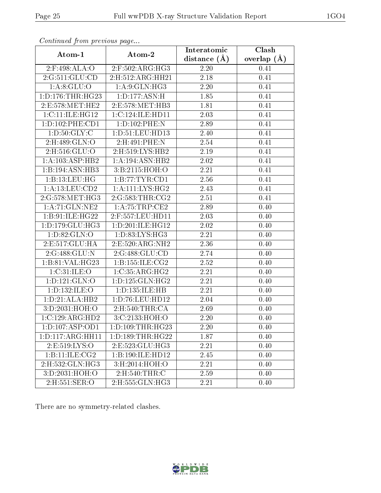| Atom-1                          |                      | Interatomic       | $\overline{\text{Clash}}$ |
|---------------------------------|----------------------|-------------------|---------------------------|
|                                 | Atom-2               | distance $(A)$    | overlap $(A)$             |
| $2:$ F:498:ALA:O                | $2:$ F:502:ARG:HG3   | 2.20              | 0.41                      |
| 2:G:511:GLU:CD                  | 2: H: 512: ARG: HH21 | 2.18              | 0.41                      |
| 1: A:8: GLU:O                   | 1: A:9: GLN: HG3     | 2.20              | 0.41                      |
| 1: D: 176: THR: HG23            | 1:D:177:ASN:H        | 1.85              | 0.41                      |
| 2:E:578:MET:HE2                 | 2:E:578:MET:HB3      | 1.81              | 0.41                      |
| 1:C:11:ILE:HG12                 | 1:C:124:ILE:HD11     | 2.03              | 0.41                      |
| 1: D: 102: PHE: CD1             | 1:D:102:PHE:N        | 2.89              | 0.41                      |
| 1: D:50: GLY: C                 | 1: D: 51: LEU: HD13  | 2.40              | 0.41                      |
| 2:H:489:GLN:O                   | 2:H:491:PHE:N        | $\overline{2.54}$ | 0.41                      |
| 2:H:516:GLU:O                   | 2:H:519:LYS:HB2      | 2.19              | 0.41                      |
| 1: A:103: ASP:HB2               | 1:A:194:ASN:HB2      | 2.02              | 0.41                      |
| 1:B:194:ASN:HB3                 | 3: B: 2115: HOH:O    | 2.21              | 0.41                      |
| 1:B:13:LEU:HG                   | 1:B:77:TYR:CD1       | 2.56              | 0.41                      |
| 1: A:13: LEU: CD2               | 1:A:111:LYS:HG2      | 2.43              | 0.41                      |
| 2:G:578:MET:HG3                 | 2:G:583:THR:CG2      | 2.51              | 0.41                      |
| 1:A:71:GLN:NE2                  | 1: A:75:TRP:CE2      | 2.89              | 0.40                      |
| 1:B:91:ILE:HG22                 | 2:F:557:LEU:HD11     | 2.03              | 0.40                      |
| 1:D:179:GLU:HG3                 | 1:D:201:ILE:HG12     | 2.02              | 0.40                      |
| 1: D:82: GLN:O                  | 1: D: 83: LYS: HG3   | 2.21              | 0.40                      |
| 2:E:517:GLU:HA                  | 2:E:520:ARG:NH2      | 2.36              | 0.40                      |
| 2:G:488:GLU:N                   | 2:G:488:GLU:CD       | 2.74              | 0.40                      |
| 1: B:81:VAL:HG23                | 1:B:155:ILE:CG2      | 2.52              | 0.40                      |
| 1:C:31:ILE:O                    | 1:C:35:ARG:HG2       | 2.21              | 0.40                      |
| $1: D: 121: \overline{GLN:O}$   | 1: D: 125: GLN: HG2  | $\overline{2.21}$ | 0.40                      |
| 1:D:132:ILE:O                   | 1:D:135:ILE:HB       | 2.21              | 0.40                      |
| 1:D:21:ALA:HB2                  | 1:D:76:LEU:HD12      | 2.04              | 0.40                      |
| 3:D:2031:HOH:O                  | 2:H:540:THR:CA       | 2.69              | 0.40                      |
| 1:C:129:ARG:HD2                 | 3:C:2133:HOH:O       | 2.20              | 0.40                      |
| $1: D: 107: \overline{ASP:OD1}$ | 1: D: 109: THR: HG23 | 2.20              | 0.40                      |
| 1:D:117:ARG:HH11                | 1: D: 189: THR: HG22 | 1.87              | 0.40                      |
| 2:E:519:LYS:O                   | 2:E:523:GLU:HG3      | 2.21              | 0.40                      |
| 1:B:11:ILE:CG2                  | 1:B:190:ILE:HD12     | 2.45              | 0.40                      |
| 2:H:532:GLN:HG3                 | 3:H:2014:HOH:O       | 2.21              | 0.40                      |
| 3:D:2031:HOH:O                  | 2:H:540:THR:C        | 2.59              | 0.40                      |
| $2:$ H $:551:$ SER $:$ O        | 2:H:555:GLN:HG3      | 2.21              | 0.40                      |

There are no symmetry-related clashes.

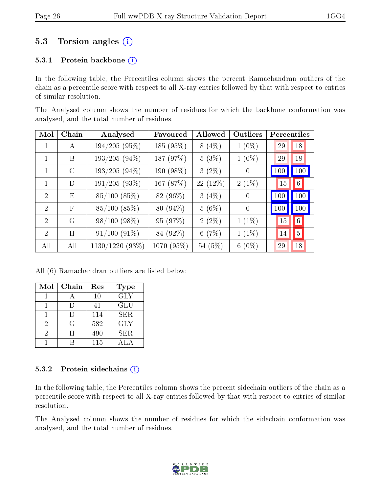### 5.3 Torsion angles (i)

#### 5.3.1 Protein backbone  $(i)$

In the following table, the Percentiles column shows the percent Ramachandran outliers of the chain as a percentile score with respect to all X-ray entries followed by that with respect to entries of similar resolution.

The Analysed column shows the number of residues for which the backbone conformation was analysed, and the total number of residues.

| Mol                         | Chain      | Analysed          | Favoured   | Allowed  | Outliers       | Percentiles |                |
|-----------------------------|------------|-------------------|------------|----------|----------------|-------------|----------------|
|                             | A          | $194/205(95\%)$   | 185 (95%)  | $8(4\%)$ | $1(0\%)$       | 29          | 18             |
| $\mathbf{1}$                | B          | $193/205(94\%)$   | 187 (97%)  | 5(3%)    | $1(0\%)$       | 29          | 18             |
| 1                           | $\rm C$    | $193/205(94\%)$   | 190 (98%)  | $3(2\%)$ | $\overline{0}$ | 100         | 100            |
| 1                           | D          | 191/205(93%)      | 167 (87%)  | 22 (12%) | $2(1\%)$       | 15          | 6 <sup>1</sup> |
| $\mathcal{D}_{\mathcal{A}}$ | E          | $85/100$ $(85\%)$ | 82 (96%)   | $3(4\%)$ | $\theta$       | 100         | 100            |
| $\mathcal{D}$               | $_{\rm F}$ | $85/100$ $(85\%)$ | 80 (94%)   | $5(6\%)$ | 0              | 100         | 100            |
| $\mathcal{D}_{\mathcal{A}}$ | G          | $98/100(98\%)$    | 95 (97%)   | $2(2\%)$ | $1(1\%)$       | 15          | 6              |
| $\mathcal{D}$               | H          | $91/100$ $(91\%)$ | 84 (92%)   | 6(7%)    | $1(1\%)$       | 14          | 5 <sup>1</sup> |
| All                         | All        | $1130/1220$ (93%) | 1070 (95%) | 54 (5%)  | $6(0\%)$       | 29          | 18             |

All (6) Ramachandran outliers are listed below:

| Mol | Chain | Res    | <b>Type</b> |
|-----|-------|--------|-------------|
|     |       | $10\,$ | <b>GLY</b>  |
|     |       | 41     | GLU         |
|     |       | 114    | SER.        |
| 2   | G     | 582    | <b>GLY</b>  |
| 2   |       | 490    | SER.        |
|     |       | 115    |             |

#### 5.3.2 Protein sidechains  $(i)$

In the following table, the Percentiles column shows the percent sidechain outliers of the chain as a percentile score with respect to all X-ray entries followed by that with respect to entries of similar resolution.

The Analysed column shows the number of residues for which the sidechain conformation was analysed, and the total number of residues.

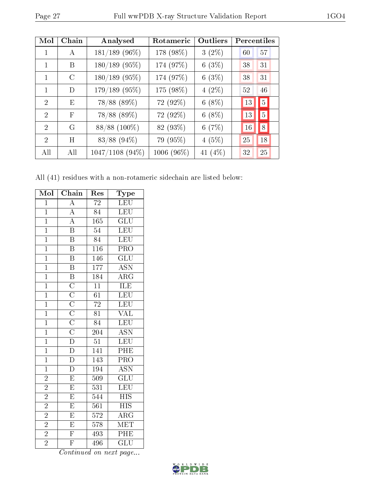| Mol                         | Chain      | Analysed          | Rotameric  | Outliers | Percentiles |                |
|-----------------------------|------------|-------------------|------------|----------|-------------|----------------|
| 1                           | А          | $181/189$ (96%)   | 178 (98%)  | $3(2\%)$ | 60          | 57             |
| 1                           | B          | $180/189$ (95%)   | 174 (97%)  | 6(3%)    | 38          | 31             |
| 1                           | C          | $180/189$ (95%)   | 174 (97%)  | 6(3%)    | 38          | 31             |
| 1                           | D          | 179/189 (95%)     | 175 (98%)  | $4(2\%)$ | 52          | 46             |
| $\mathcal{D}_{\mathcal{L}}$ | E          | 78/88 (89%)       | 72 (92%)   | $6(8\%)$ | 13          | $5\vert$       |
| 2                           | $_{\rm F}$ | 78/88 (89%)       | 72 (92%)   | $6(8\%)$ | 13          | 5 <sup>5</sup> |
| $\mathcal{D}_{\mathcal{A}}$ | G          | 88/88 (100%)      | 82 (93%)   | 6(7%)    | 16          | 8              |
| $\overline{2}$              | H          | 83/88 (94%)       | 79 (95%)   | 4(5%)    | 25          | 18             |
| All                         | All        | $1047/1108$ (94%) | 1006 (96%) | 41 (4%)  | 32          | 25             |

All (41) residues with a non-rotameric sidechain are listed below:

| Mol            | Chain                                                                                                                                                     | Res              | Type                      |
|----------------|-----------------------------------------------------------------------------------------------------------------------------------------------------------|------------------|---------------------------|
| $\mathbf{1}$   | $\overline{\rm A}$                                                                                                                                        | 72               | <b>LEU</b>                |
| $\overline{1}$ | $\overline{A}$                                                                                                                                            | 84               | <b>LEU</b>                |
| $\overline{1}$ | $\overline{A}$                                                                                                                                            | 165              | $\overline{{\rm GLU}}$    |
| $\mathbf 1$    | $\overline{\mathrm{B}}$                                                                                                                                   | 54               | LEU                       |
| $\overline{1}$ | $\overline{\mathbf{B}}$                                                                                                                                   | $8\overline{4}$  | LEU                       |
| $\mathbf 1$    | $\overline{\text{B}}$                                                                                                                                     | $\overline{116}$ | $\overline{\text{PRO}}$   |
| $\overline{1}$ | $\overline{\mathrm{B}}$                                                                                                                                   | 146              | $\overline{\text{GLU}}$   |
| $\overline{1}$ | $\overline{\mathbf{B}}$                                                                                                                                   | 177              | $\overline{\text{ASN}}$   |
| $\mathbf{1}$   | $\overline{\mathbf{B}}$                                                                                                                                   | 184              | $\overline{\text{ARG}}$   |
| $\overline{1}$ |                                                                                                                                                           | $\overline{11}$  | ILE                       |
| $\overline{1}$ | $\overline{\text{C}}$ $\overline{\text{C}}$ $\overline{\text{C}}$ $\overline{\text{C}}$ $\overline{\text{C}}$ $\overline{\text{C}}$ $\overline{\text{D}}$ | $\overline{61}$  | LEU                       |
| $\overline{1}$ |                                                                                                                                                           | $\overline{72}$  | LEU                       |
| $\overline{1}$ |                                                                                                                                                           | $\overline{81}$  | $\overline{\text{VAL}}$   |
| $\overline{1}$ |                                                                                                                                                           | $\overline{84}$  | $\overline{\text{LEU}}$   |
| $\overline{1}$ |                                                                                                                                                           | $\overline{204}$ | <b>ASN</b>                |
| $\mathbf 1$    |                                                                                                                                                           | $5\overline{1}$  | LEU                       |
| $\mathbf{1}$   | $\overline{\rm D}$                                                                                                                                        | 141              | PHE                       |
| $\overline{1}$ | $\overline{D}$                                                                                                                                            | 143              | $\overline{\text{PRO}}$   |
| $\overline{1}$ | $\overline{\rm D}$                                                                                                                                        | 194              | $\overline{\text{ASN}}$   |
| $\overline{2}$ | $\overline{E}$                                                                                                                                            | $\overline{509}$ | $\overline{{\rm GLU}}$    |
| $\overline{2}$ | $\overline{\mathrm{E}}$                                                                                                                                   | 531              | LEU                       |
| $\overline{2}$ | $\overline{\mathrm{E}}$                                                                                                                                   | $\overline{544}$ | $\overline{HIS}$          |
| $\overline{2}$ | $\overline{\mathrm{E}}$                                                                                                                                   | $\overline{561}$ | $\overline{\mathrm{HIS}}$ |
| $\overline{2}$ | E                                                                                                                                                         | 572              | $\overline{\rm{ARG}}$     |
| $\overline{2}$ | $\overline{\mathrm{E}}$                                                                                                                                   | 578              | MET                       |
| $\overline{2}$ | $\overline{\mathrm{F}}$                                                                                                                                   | 493              | PHE                       |
| $\overline{2}$ | $\overline{\mathrm{F}}$                                                                                                                                   | 496              | $\overline{\text{GLU}}$   |

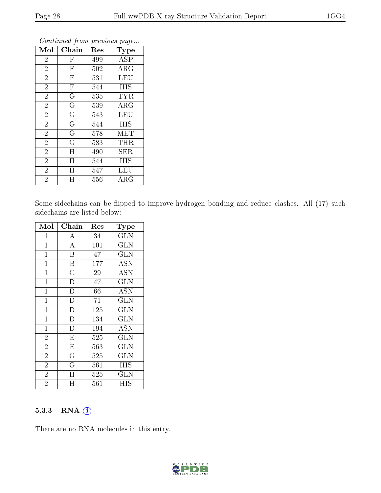| Mol            | Chain                   | Res | <b>Type</b>             |
|----------------|-------------------------|-----|-------------------------|
| $\overline{2}$ | $\mathbf{F}$            | 499 | <b>ASP</b>              |
| $\overline{2}$ | $\mathbf F$             | 502 | $\rm{ARG}$              |
| $\overline{2}$ | $\overline{\mathrm{F}}$ | 531 | <b>LEU</b>              |
| $\overline{2}$ | $\overline{\mathrm{F}}$ | 544 | <b>HIS</b>              |
| $\overline{2}$ | $\rm \bar{G}$           | 535 | $\overline{\text{TYR}}$ |
| $\overline{2}$ | G                       | 539 | $\rm{ARG}$              |
| $\overline{2}$ | G                       | 543 | <b>LEU</b>              |
| $\overline{2}$ | G                       | 544 | <b>HIS</b>              |
| $\overline{2}$ | G                       | 578 | MET                     |
| $\overline{2}$ | G                       | 583 | <b>THR</b>              |
| $\overline{2}$ | $H_{\rm}$               | 490 | SER                     |
| $\overline{2}$ | H                       | 544 | HIS                     |
| $\overline{2}$ | H                       | 547 | LEU                     |
| $\overline{2}$ | Η                       | 556 | $\rm{ARG}$              |

Some sidechains can be flipped to improve hydrogen bonding and reduce clashes. All (17) such sidechains are listed below:

| Mol            | Chain                   | Res | Type                      |
|----------------|-------------------------|-----|---------------------------|
| $\mathbf{1}$   | $\boldsymbol{A}$        | 34  | <b>GLN</b>                |
| $\mathbf{1}$   | $\overline{A}$          | 101 | <b>GLN</b>                |
| $\mathbf{1}$   | $\overline{\mathrm{B}}$ | 47  | $\overline{\text{GLN}}$   |
| $\mathbf{1}$   | $\overline{\mathbf{B}}$ | 177 | <b>ASN</b>                |
| $\mathbf{1}$   | $\overline{\rm C}$      | 29  | $\overline{\mathrm{ASN}}$ |
| $\mathbf{1}$   | $\overline{\mathrm{D}}$ | 47  | <b>GLN</b>                |
| $\mathbf{1}$   | $\overline{\mathrm{D}}$ | 66  | <b>ASN</b>                |
| $\overline{1}$ | $\overline{\mathrm{D}}$ | 71  | GLN                       |
| $\mathbf{1}$   | $\overline{\rm D}$      | 125 | <b>GLN</b>                |
| $\mathbf{1}$   | $\overline{\rm D}$      | 134 | <b>GLN</b>                |
| $\mathbf{1}$   | $\overline{\rm D}$      | 194 | <b>ASN</b>                |
| $\overline{2}$ | $\overline{\mathrm{E}}$ | 525 | $\overline{\text{GLN}}$   |
| $\overline{2}$ | $\overline{E}$          | 563 | <b>GLN</b>                |
| $\overline{2}$ | $\overline{\mathrm{G}}$ | 525 | <b>GLN</b>                |
| $\overline{2}$ | $\overline{\mathrm{G}}$ | 561 | <b>HIS</b>                |
| $\overline{2}$ | H                       | 525 | GLN                       |
| $\overline{2}$ | Η                       | 561 | HIS                       |

#### 5.3.3 RNA [O](https://www.wwpdb.org/validation/2017/XrayValidationReportHelp#rna)i

There are no RNA molecules in this entry.

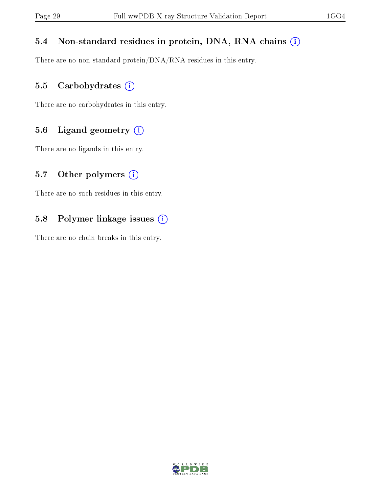#### 5.4 Non-standard residues in protein, DNA, RNA chains (i)

There are no non-standard protein/DNA/RNA residues in this entry.

#### 5.5 Carbohydrates (i)

There are no carbohydrates in this entry.

#### 5.6 Ligand geometry (i)

There are no ligands in this entry.

#### 5.7 [O](https://www.wwpdb.org/validation/2017/XrayValidationReportHelp#nonstandard_residues_and_ligands)ther polymers  $(i)$

There are no such residues in this entry.

#### 5.8 Polymer linkage issues (i)

There are no chain breaks in this entry.

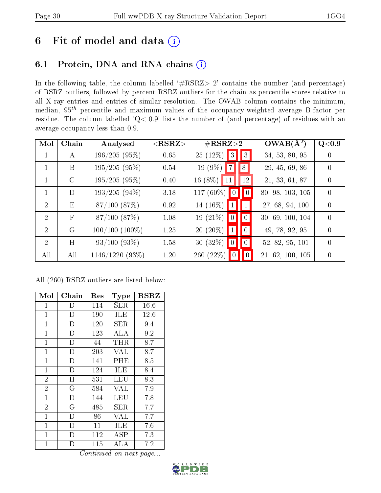## 6 Fit of model and data  $(i)$

## 6.1 Protein, DNA and RNA chains  $(i)$

In the following table, the column labelled  $#RSRZ> 2'$  contains the number (and percentage) of RSRZ outliers, followed by percent RSRZ outliers for the chain as percentile scores relative to all X-ray entries and entries of similar resolution. The OWAB column contains the minimum, median,  $95<sup>th</sup>$  percentile and maximum values of the occupancy-weighted average B-factor per residue. The column labelled ' $Q< 0.9$ ' lists the number of (and percentage) of residues with an average occupancy less than 0.9.

| Mol                         | Chain         | Analysed          | ${ <\hspace{-1.5pt}{\mathrm{RSRZ}} \hspace{-1.5pt}>}$ | $\#\text{RSRZ}{>}2$ |                 |                 | $OWAB(\Lambda^2)$ | Q <sub>0.9</sub> |
|-----------------------------|---------------|-------------------|-------------------------------------------------------|---------------------|-----------------|-----------------|-------------------|------------------|
| $\mathbf 1$                 | А             | $196/205(95\%)$   | 0.65                                                  | $25(12\%)$          | 3               | $\parallel$ 3   | 34, 53, 80, 95    | $\left( \right)$ |
| $\mathbf{1}$                | B             | $195/205(95\%)$   | 0.54                                                  | $19(9\%)$ 7         |                 | $\parallel 8$   | 29, 45, 69, 86    | $\left( \right)$ |
| 1                           | $\mathcal{C}$ | $195/205(95\%)$   | 0.40                                                  | $16(8\%)$<br>11     |                 | 12              | 21, 33, 61, 87    | $\Omega$         |
| 1                           | D             | $193/205(94\%)$   | 3.18                                                  | 117 $(60\%)$        |                 | $\blacksquare$  | 80, 98, 103, 105  | $\theta$         |
| $\overline{2}$              | E             | $87/100$ $(87%)$  | 0.92                                                  | 14 $(16\%)$         | 1               | $\vert$ 1       | 27, 68, 94, 100   | $\Omega$         |
| $\mathcal{D}_{\mathcal{L}}$ | $\mathbf{F}$  | $87/100$ $(87%)$  | 1.08                                                  | 19 $(21\%)$         | 0               | $\vert 0 \vert$ | 30, 69, 100, 104  | $\Omega$         |
| $\overline{2}$              | $\rm G$       | $100/100(100\%)$  | 1.25                                                  | $20(20\%)$          | $\vert 1 \vert$ | $\vert 0 \vert$ | 49, 78, 92, 95    | $\Omega$         |
| $\overline{2}$              | H             | $93/100(93\%)$    | 1.58                                                  | 30 $(32\%)$         | $\boxed{0}$     | $\vert 0 \vert$ | 52, 82, 95, 101   | $\Omega$         |
| All                         | All           | $1146/1220(93\%)$ | 1.20                                                  | 260 (22%)           |                 | $\vert 0 \vert$ | 21, 62, 100, 105  | $\theta$         |

All (260) RSRZ outliers are listed below:

| Mol            | Chain          | Res | <b>Type</b>  | $_{\rm RSRZ}$ |
|----------------|----------------|-----|--------------|---------------|
| 1              | D              | 114 | <b>SER</b>   | 16.6          |
| $\mathbf{1}$   | D              | 190 | ILE          | 12.6          |
| $\mathbf{1}$   | $\mathbf D$    | 120 | ${\rm SER}$  | 9.4           |
| $\mathbf{1}$   | D              | 123 | ALA          | 9.2           |
| $\mathbf 1$    | D              | 44  | THR          | 8.7           |
| $\mathbf{1}$   | $\overline{D}$ | 203 | VAL          | 8.7           |
| $\mathbf{1}$   | $\overline{D}$ | 141 | PHE          | 8.5           |
| $\mathbf{1}$   | D              | 124 | ILE          | 8.4           |
| $\overline{2}$ | H              | 531 | LEU          | 8.3           |
| $\overline{2}$ | $\overline{G}$ | 584 | VAL          | 7.9           |
| $\mathbf{1}$   | D              | 144 | LEU          | 7.8           |
| $\overline{2}$ | G              | 485 | <b>SER</b>   | 7.7           |
| $\mathbf{1}$   | D              | 86  | <b>VAL</b>   | 7.7           |
| $\mathbf{1}$   | $\overline{D}$ | 11  | ILE          | 7.6           |
| $\mathbf{1}$   | D              | 112 | $_{\rm ASP}$ | 7.3           |
| 1              | D              | 115 | ALA          | $7.2\,$       |

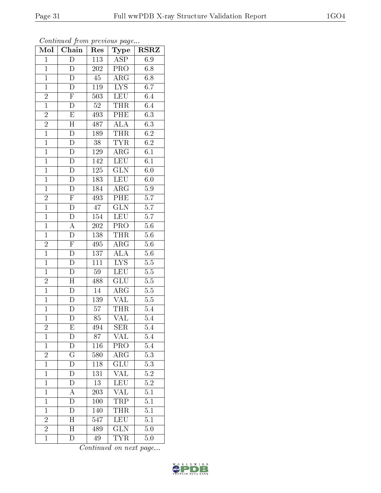| Mol            | $\overline{\text{Chain}}$ | Res              | Type                    | <b>RSRZ</b>      |
|----------------|---------------------------|------------------|-------------------------|------------------|
| $\mathbf{1}$   | D                         | 113              | $\overline{ASP}$        | 6.9              |
| $\mathbf{1}$   | D                         | $\overline{202}$ | PRO                     | 6.8              |
| $\mathbf{1}$   | $\overline{\rm D}$        | $\overline{45}$  | $\rm{AR}\bar{\rm{G}}$   | $6.8\,$          |
| $\overline{1}$ | $\overline{D}$            | $119\,$          | $\overline{LYS}$        | 6.7              |
| $\overline{2}$ | $\overline{\mathrm{F}}$   | 503              | <b>LEU</b>              | 6.4              |
| $\overline{1}$ | $\overline{\rm D}$        | $52\,$           | <b>THR</b>              | 6.4              |
| $\frac{2}{2}$  | $\overline{E}$            | $49\overline{3}$ | PHE                     | $\overline{6.3}$ |
|                | $\overline{H}$            | 487              | <b>ALA</b>              | 6.3              |
| $\overline{1}$ | $\overline{D}$            | 189              | THR                     | $6.2\,$          |
| $\overline{1}$ | $\overline{\rm D}$        | $\overline{38}$  | <b>TYR</b>              | $\overline{6.2}$ |
| $\mathbf{1}$   | $\mathbf D$               | $1\,29$          | $AR\overline{G}$        | 6.1              |
| $\overline{1}$ | $\overline{\rm D}$        | 142              | LEU                     | 6.1              |
| $\overline{1}$ | $\overline{D}$            | $\overline{125}$ | $\overline{\text{GLN}}$ | 6.0              |
| $\overline{1}$ | $\overline{\rm D}$        | 183              | <b>LEU</b>              | 6.0              |
| $\overline{1}$ | $\overline{\rm D}$        | $\overline{184}$ | $\overline{\rm{ARG}}$   | $\overline{5.9}$ |
| $\overline{c}$ | $\overline{F}$            | 493              | PHE                     | 5.7              |
| $\overline{1}$ | $\overline{\rm D}$        | 47               | $\overline{\text{GLN}}$ | $\overline{5.7}$ |
| $\overline{1}$ | D                         | 154              | ${\rm LEU}$             | 5.7              |
| $\overline{1}$ | A                         | $\overline{202}$ | PRO                     | $\overline{5.6}$ |
| $\overline{1}$ | $\overline{D}$            | 138              | <b>THR</b>              | $5.6\,$          |
| $\overline{c}$ | $\overline{F}$            | 495              | $AR\overline{G}$        | $5.6\,$          |
| $\overline{1}$ | $\overline{\rm D}$        | 137              | <b>ALA</b>              | 5.6              |
| $\overline{1}$ | D                         | 111              | LYS                     | 5.5              |
| $\overline{1}$ | $\overline{\rm D}$        | 59               | LEU                     | $5.5\,$          |
| $\overline{2}$ | $\overline{\rm H}$        | 488              | $\overline{\text{GLU}}$ | $5.5\,$          |
| $\overline{1}$ | ${\rm D}$                 | 14               | $\rm{ARG}$              | $5.5\,$          |
| $\overline{1}$ | D                         | 139              | $\overline{\text{VAL}}$ | 5.5              |
| $\overline{1}$ | $\overline{\rm D}$        | 57               | THR                     | 5.4              |
| $\overline{1}$ | $\overline{\rm D}$        | $\overline{8}5$  | $\overline{\text{VAL}}$ | 5.4              |
| $\frac{2}{1}$  | Ε                         | 494              | <b>SER</b>              | $\overline{5.4}$ |
| $\mathbf{1}$   | D                         | 87               | <b>VAL</b>              | 5.4              |
| $\mathbf{1}$   | $\overline{\rm D}$        | 116              | PRO                     | 5.4              |
| $\overline{2}$ | $\mathbf G$               | 580              | $\rm{ARG}$              | 5.3              |
| $\overline{1}$ | $\overline{\rm D}$        | 118              | $\overline{\text{GLU}}$ | $\overline{5.3}$ |
| $\mathbf{1}$   | D                         | 131              | VAL                     | $5.2\,$          |
| $\mathbf{1}$   | Đ                         | $\overline{13}$  | LEU                     | $\overline{5.2}$ |
| $\mathbf{1}$   | А                         | 203              | <b>VAL</b>              | $\overline{5.1}$ |
| $\overline{1}$ | D                         | 100              | <b>TRP</b>              | $\overline{5.1}$ |
| $\mathbf{1}$   | D                         | 140              | <b>THR</b>              | 5.1              |
| $\overline{2}$ | H                         | 547              | <b>LEU</b>              | 5.1              |
| $\overline{2}$ | H                         | 489              | $\overline{\text{GLN}}$ | 5.0              |
| $\overline{1}$ | D                         | 49               | <b>TYR</b>              | 5.0              |

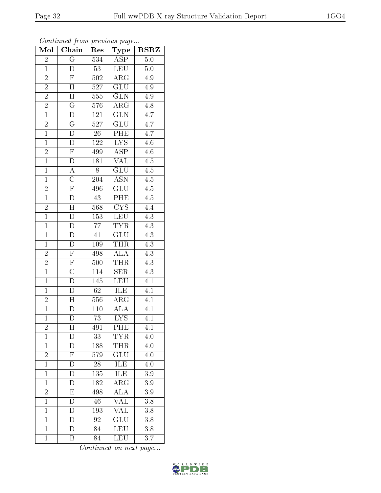| Mol            | Chain                     | Res              | ${\bf Type}$            | <b>RSRZ</b>      |
|----------------|---------------------------|------------------|-------------------------|------------------|
| $\overline{c}$ | $\overline{\mathrm{G}}$   | $\overline{534}$ | <b>ASP</b>              | 5.0              |
| $\mathbf{1}$   | $\overline{D}$            | 53               | <b>LEU</b>              | 5.0              |
| $\overline{2}$ | $\overline{\mathrm{F}}$   | 502              | $\overline{\rm ARG}$    | 4.9              |
| $\overline{2}$ | $\overline{H}$            | 527              | $\overline{\text{GLU}}$ | 4.9              |
| $\overline{2}$ | $\overline{H}$            | 555              | $\overline{\text{GLN}}$ | 4.9              |
| $\frac{2}{1}$  | $\mathbf G$               | 576              | $\rm{ARG}$              | 4.8              |
|                | $\overline{\rm D}$        | 121              | $\overline{\text{GLN}}$ | $\overline{4.7}$ |
| $\overline{2}$ | $\overline{\mathrm{G}}$   | 527              | GLU                     | 4.7              |
| $\overline{1}$ | $\overline{\rm D}$        | $\overline{26}$  | PHE                     | $4.7\,$          |
| $\overline{1}$ | $\overline{\rm D}$        | <sup>122</sup>   | $\overline{\text{LYS}}$ | $\overline{4.6}$ |
| $\frac{2}{1}$  | $\overline{F}$            | 499              | $\overline{\text{ASP}}$ | $4.6\,$          |
|                | $\bar{\rm D}$             | 181              | $\overline{\text{VAL}}$ | $4.5\,$          |
| $\overline{1}$ | $\boldsymbol{A}$          | $\overline{8}$   | GLU                     | 4.5              |
| $\overline{1}$ | $\overline{\rm C}$        | 204              | <b>ASN</b>              | $4.\overline{5}$ |
| $\overline{2}$ | $\overline{\mathrm{F}}$   | 496              | $\overline{\text{GLU}}$ | $\overline{4.5}$ |
| $\overline{1}$ | $\overline{\rm D}$        | 43               | PHE                     | $4.5\,$          |
| $\overline{2}$ | $\overline{\rm H}$        | 568              | $\overline{\text{CYS}}$ | 4.4              |
| $\overline{1}$ | ${\rm D}$                 | 153              | <b>LEU</b>              | $4.3\,$          |
| $\overline{1}$ | D                         | $\overline{77}$  | $\overline{\text{TYR}}$ | $\overline{4.3}$ |
| $\mathbf{1}$   | $\overline{\rm D}$        | 41               | GLU                     | $4.3\,$          |
| $\mathbf{1}$   | $\mathbf D$               | 109              | <b>THR</b>              | $\overline{4.3}$ |
| $\overline{2}$ | $\overline{F}$            | 498              | <b>ALA</b>              | $\overline{4.3}$ |
| $\overline{2}$ | $\overline{F}$            | 500              | <b>THR</b>              | $\overline{4.3}$ |
| $\overline{1}$ | $\overline{\rm C}$        | 114              | $\overline{\text{SER}}$ | $\overline{4.3}$ |
| $\overline{1}$ | $\overline{D}$            | 145              | <b>LEU</b>              | 4.1              |
| $\mathbf{1}$   | $\mathbf D$               | 62               | ILE                     | 4.1              |
| $\overline{2}$ | $\overline{H}$            | $\overline{5}56$ | $\overline{\rm ARG}$    | 4.1              |
| $\overline{1}$ | $\overline{\rm D}$        | 110              | <b>ALA</b>              | 4.1              |
| $\overline{1}$ | $\overline{\rm D}$        | $\overline{73}$  | $\overline{\rm LYS}$    | 4.1              |
| $\overline{c}$ | $\boldsymbol{\mathrm{H}}$ | 491              | PHE                     | $\overline{4.1}$ |
| $\mathbf{1}$   | D                         | 33               | <b>TYR</b>              | 4.0              |
| $\mathbf{1}$   | D                         | 188              | THR                     | $4.0\,$          |
| $\overline{2}$ | ${\bf F}$                 | 579              | <b>GLU</b>              | 4.0              |
| $\overline{1}$ | D                         | 28               | ILE                     | 4.0              |
| $\mathbf{1}$   | D                         | 135              | ILE                     | $3.9\,$          |
| $\mathbf{1}$   | D                         | 182              | $\rm{ARG}$              | $3.9\,$          |
| $\frac{2}{1}$  | E                         | 498              | <b>ALA</b>              | $3.9\,$          |
|                | D                         | 46               | VAL                     | 3.8              |
| $\mathbf{1}$   | D                         | 193              | $\rm V\!A\overline{L}$  | 3.8              |
| $\mathbf{1}$   | D                         | 92               | GLU                     | 3.8              |
| $\mathbf{1}$   | D                         | 84               | <b>LEU</b>              | $3.\overline{8}$ |
| $\mathbf{1}$   | $\overline{B}$            | 84               | <b>LEU</b>              | $\overline{3.7}$ |

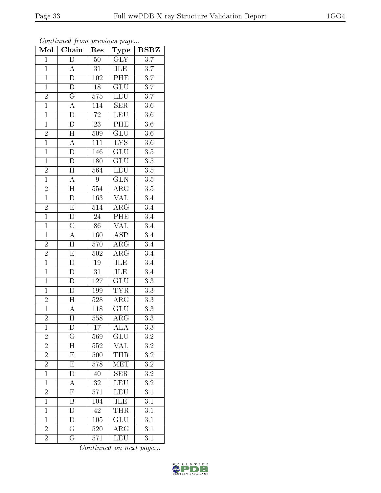| Mol            | Chain                   | Res              | Type                     | <b>RSRZ</b>      |
|----------------|-------------------------|------------------|--------------------------|------------------|
| $\mathbf{1}$   | $\overline{\rm D}$      | $50\,$           | <b>GLY</b>               | $\overline{3.7}$ |
| $\mathbf{1}$   | А                       | 31               | ILE                      | $\overline{3.7}$ |
| $\overline{1}$ | $\overline{\rm D}$      | 102              | PHE                      | $\overline{3.7}$ |
| $\mathbf{1}$   | D                       | $18\,$           | GLU                      | $\overline{3.7}$ |
| $\overline{2}$ | $\overline{\mathrm{G}}$ | $\overline{575}$ | <b>LEU</b>               | $\overline{3.7}$ |
| $\overline{1}$ | $\boldsymbol{A}$        | 114              | <b>SER</b>               | $3.6\,$          |
| $\overline{1}$ | $\overline{\rm D}$      | $72\,$           | <b>LEU</b>               | $3.6\,$          |
| $\overline{1}$ | $\overline{\rm D}$      | $\overline{23}$  | PHE                      | 3.6              |
| $\overline{2}$ | $\overline{H}$          | 509              | $\overline{\text{GLU}}$  | $3.6\,$          |
| $\overline{1}$ | $\overline{A}$          | $\overline{111}$ | $\overline{\text{LYS}}$  | $\overline{3.6}$ |
| $\overline{1}$ | D                       | 146              | GLU                      | $3.5\,$          |
| $\overline{1}$ | $\overline{\rm D}$      | 180              | $\overline{\text{GLU}}$  | $\overline{3.5}$ |
| $\overline{2}$ | $\overline{H}$          | 564              | <b>LEU</b>               | $\overline{3.5}$ |
| $\overline{1}$ | $\overline{A}$          | 9                | GLN                      | $\overline{3.5}$ |
| $\overline{2}$ | $\overline{\rm H}$      | 554              | $\overline{\rm{ARG}}$    | $\overline{3.5}$ |
| $\overline{1}$ | D                       | 163              | VAL                      | $3\overline{.4}$ |
| $\overline{2}$ | $\overline{E}$          | $\overline{514}$ | $\overline{\rm{ARG}}$    | $\overline{3.4}$ |
| $\overline{1}$ | $\overline{\rm D}$      | $\overline{24}$  | $\overline{\text{PHE}}$  | 3.4              |
| $\overline{1}$ | $\overline{\rm C}$      | 86               | $\overline{\text{VAL}}$  | 3.4              |
| $\mathbf{1}$   | $\overline{\rm A}$      | 160              | $\overline{\text{ASP}}$  | $\overline{3.4}$ |
| $\overline{2}$ | $\overline{H}$          | 570              | $\rm{ARG}$               | 3.4              |
| $\overline{2}$ | $\overline{E}$          | $\overline{502}$ | $\overline{\rm{ARG}}$    | $\overline{3.4}$ |
| $\overline{1}$ | D                       | 19               | ILE                      | 3.4              |
| $\overline{1}$ | $\overline{\rm D}$      | $\overline{31}$  | <b>ILE</b>               | $\overline{3.4}$ |
| $\overline{1}$ | $\overline{D}$          | 127              | GLU                      | $3.3\,$          |
| $\overline{1}$ | $\overline{D}$          | 199              | <b>TYR</b>               | $\overline{3.3}$ |
| $\overline{2}$ | $\overline{H}$          | 528              | $\overline{\rm{ARG}}$    | $\overline{3.3}$ |
| $\overline{1}$ | $\overline{\rm A}$      | $118\,$          | $\overline{\text{GLU}}$  | $\overline{3.3}$ |
| $\overline{2}$ | $\overline{\rm H}$      | 558              | $\overline{\rm{ARG}}$    | $\overline{3.3}$ |
| $\mathbf 1$    | D                       | $\overline{17}$  | $\overline{\rm ALA}$     | $\overline{3.3}$ |
| $\overline{c}$ | G                       | 569              | $\widetilde{\text{GLU}}$ | $\!3.2\!$        |
| $\overline{2}$ | $\overline{H}$          | 552              | <b>VAL</b>               | $\overline{3.2}$ |
| $\overline{c}$ | E                       | 500              | THR                      | $3.2\,$          |
| $\overline{2}$ | $\overline{\mathrm{E}}$ | $\overline{578}$ | MET                      | $\overline{3.2}$ |
| $\overline{1}$ | D                       | 40               | <b>SER</b>               | $3.2\,$          |
| $\overline{1}$ | $\overline{\rm A}$      | 32               | LEU                      | $\overline{3.2}$ |
| $\frac{2}{1}$  | $\overline{F}$          | 571              | LEU                      | 3.1              |
|                | $\boldsymbol{B}$        | 104              | ILE                      | $\overline{3.1}$ |
| $\mathbf{1}$   | $\overline{\rm D}$      | 42               | <b>THR</b>               | $3\overline{.1}$ |
| $\mathbf{1}$   | D                       | $105\,$          | GLU                      | 3.1              |
| $\overline{2}$ | $\overline{\mathrm{G}}$ | $\overline{520}$ | $\rm{ARG}$               | 3.1              |
| $\overline{2}$ | $\overline{G}$          | 571              | <b>LEU</b>               | 3.1              |

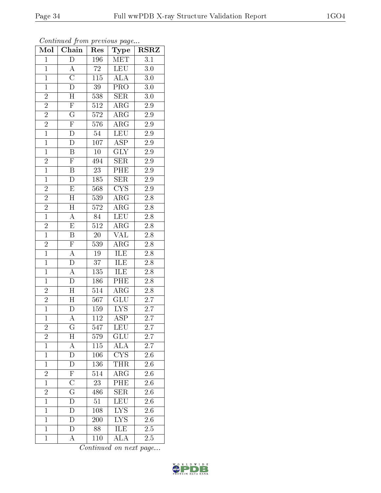| Mol            | Chain                     | Res              | Type                    | <b>RSRZ</b>      |
|----------------|---------------------------|------------------|-------------------------|------------------|
| $\mathbf{1}$   | $\overline{D}$            | 196              | MET                     | $\overline{3.1}$ |
| $\overline{1}$ | А                         | 72               | LEU                     | 3.0              |
| $\mathbf{1}$   | $\overline{\rm C}$        | $1\overline{15}$ | $\overline{\rm ALA}$    | $3.0\,$          |
| $\mathbf{1}$   | $\overline{\rm D}$        | $\overline{39}$  | PRO                     | 3.0              |
| $\overline{2}$ | $\overline{\rm H}$        | 538              | SER                     | 3.0              |
| $\overline{2}$ | $\overline{F}$            | 512              | ARG                     | 2.9              |
| $\overline{2}$ | $\overline{\mathrm{G}}$   | $5\overline{72}$ | $\rm{ARG}$              | 2.9              |
| $\overline{2}$ | $\overline{F}$            | 576              | $\overline{\rm ARG}$    | $\overline{2.9}$ |
| $\mathbf{1}$   | $\overline{\rm D}$        | $54\,$           | <b>LEU</b>              | 2.9              |
| $\overline{1}$ | $\overline{\rm D}$        | 107              | $\overline{\text{ASP}}$ | $\overline{2.9}$ |
| $\overline{1}$ | $\boldsymbol{B}$          | $10\,$           | GLY                     | 2.9              |
| $\overline{2}$ | $\overline{\mathrm{F}}$   | 494              | $\overline{\text{SER}}$ | $2.\overline{9}$ |
| $\overline{1}$ | $\, {\bf B}$              | $\overline{23}$  | PHE                     | $\overline{2.9}$ |
| $\mathbf{1}$   | $\mathbf D$               | 185              | SER                     | $2.\overline{9}$ |
| $\overline{2}$ | $\overline{\mathrm{E}}$   | 568              | $\overline{\text{CYS}}$ | $\overline{2.9}$ |
| $\overline{2}$ | $\overline{H}$            | 539              | $\rm{ARG}$              | $2.\overline{8}$ |
| $\overline{2}$ | $\overline{\rm H}$        | $\overline{572}$ | $\overline{\rm{ARG}}$   | $\overline{2.8}$ |
| $\overline{1}$ | $\boldsymbol{A}$          | 84               | <b>LEU</b>              | $2.\overline{8}$ |
| $\overline{2}$ | E                         | 512              | $\rm{ARG}$              | $2.8\,$          |
| $\overline{1}$ | $\overline{\mathrm{B}}$   | 20               | <b>VAL</b>              | 2.8              |
| $\overline{2}$ | $\overline{F}$            | 539              | $AR\overline{G}$        | 2.8              |
| $\overline{1}$ | $\overline{\rm A}$        | $\overline{19}$  | <b>ILE</b>              | $\overline{2.8}$ |
| $\mathbf{1}$   | ${\rm D}$                 | 37               | ILE                     | 2.8              |
| $\overline{1}$ | $\overline{\rm A}$        | $\overline{135}$ | <b>ILE</b>              | 2.8              |
| $\mathbf{1}$   | $\mathbf D$               | 186              | PHE                     | 2.8              |
| $\overline{2}$ | $\overline{H}$            | 514              | $\rm{ARG}$              | $\overline{2.8}$ |
| $\overline{2}$ | $\overline{H}$            | 567              | $\overline{{\rm GLU}}$  | $\overline{2.7}$ |
| $\overline{1}$ | $\overline{\rm D}$        | 159              | <b>LYS</b>              | $2.7\,$          |
| $\overline{1}$ | $\overline{\rm A}$        | $11\overline{2}$ | $\overline{\text{ASP}}$ | $\overline{2}.7$ |
| $\overline{2}$ | $\overline{\mathrm{G}}$   | 547              | LEU                     | $\overline{2.7}$ |
| $\overline{2}$ | $\boldsymbol{\mathrm{H}}$ | 579              | GLU                     | $2.7^{\circ}$    |
| $\overline{1}$ | $\overline{A}$            | $11\overline{5}$ | $\overline{\text{ALA}}$ | $\overline{2.7}$ |
| $\mathbf 1$    | D                         | 106              | CYS                     | 2.6              |
| $\overline{1}$ | D                         | 136              | THR                     | $\overline{2.6}$ |
| $\overline{c}$ | ${\rm F}$                 | 514              | ARG                     | 2.6              |
| $\overline{1}$ | $\overline{\rm C}$        | $\overline{23}$  | $\overline{\text{PHE}}$ | $\overline{2.6}$ |
| $\overline{c}$ | $\overline{\mathrm{G}}$   | 486              | <b>SER</b>              | 2.6              |
| $\overline{1}$ | $\overline{D}$            | 51               | $\overline{\text{LEU}}$ | 2.6              |
| $\mathbf{1}$   | D                         | 108              | $\overline{\text{LYS}}$ | 2.6              |
| $\overline{1}$ | D                         | 200              | <b>LYS</b>              | 2.6              |
| $\mathbf{1}$   | $\overline{\rm D}$        | 88               | <b>ILE</b>              | 2.5              |
| $\mathbf{1}$   | А                         | 110              | ALA                     | 2.5              |

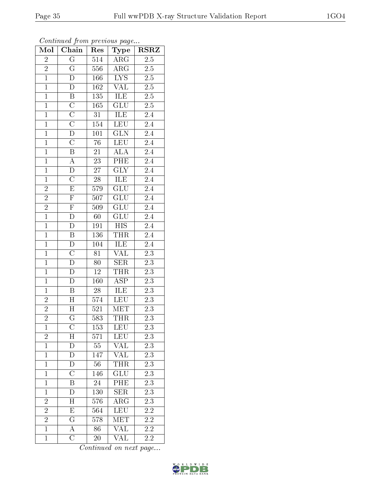| Mol            | $\overline{\text{Chain}}$ | Res              | ${\bf Type}$             | <b>RSRZ</b>      |
|----------------|---------------------------|------------------|--------------------------|------------------|
| $\overline{c}$ | $\overline{G}$            | 514              | $\overline{\rm{ARG}}$    | $2.\overline{5}$ |
| $\overline{2}$ | $\overline{\mathrm{G}}$   | 556              | $\rm{ARG}$               | $2.5\,$          |
| $\overline{1}$ | $\overline{\rm D}$        | 166              | $\overline{\text{LYS}}$  | $\overline{2.5}$ |
| $\overline{1}$ | D                         | $\overline{162}$ | $\overline{\text{VAL}}$  | $\overline{2.5}$ |
| $\overline{1}$ | $\overline{B}$            | $\overline{135}$ | <b>ILE</b>               | $\overline{2.5}$ |
| $\mathbf{1}$   | $\overline{C}$            | 165              | GLU                      | 2.5              |
| $\overline{1}$ | $\overline{C}$            | 31               | ILE                      | $2.4\,$          |
| $\mathbf{1}$   | $\overline{\rm C}$        | 154              | LEU                      | 2.4              |
| $\overline{1}$ | $\overline{\rm D}$        | $\overline{101}$ | GLN                      | $\overline{2.4}$ |
| $\overline{1}$ | $\overline{\rm C}$        | $\overline{76}$  | <b>LEU</b>               | $\overline{2.4}$ |
| $\overline{1}$ | $\overline{\mathrm{B}}$   | 21               | <b>ALA</b>               | 2.4              |
| $\overline{1}$ | $\overline{A}$            | $\overline{23}$  | $\overline{PHE}$         | $\overline{2.4}$ |
| $\overline{1}$ | $\overline{\rm D}$        | $\overline{27}$  | $\overline{\text{GLY}}$  | $\overline{2.4}$ |
| $\overline{1}$ | $\overline{\rm C}$        | 28               | ILE                      | $\overline{2.4}$ |
| $\overline{2}$ | $\overline{\mathrm{E}}$   | 579              | $\overline{\text{GLU}}$  | $\overline{2.4}$ |
| $\overline{2}$ | $\overline{\mathrm{F}}$   | 507              | $\widetilde{\text{GLU}}$ | $2.4\,$          |
| $\overline{2}$ | $\overline{F}$            | $\overline{509}$ | $\overline{\text{GLU}}$  | $\overline{2.4}$ |
| $\overline{1}$ | $\overline{\rm D}$        | 60               | <b>GLU</b>               | 2.4              |
| $\overline{1}$ | $\overline{D}$            | 191              | <b>HIS</b>               | 2.4              |
| $\overline{1}$ | $\overline{\mathbf{B}}$   | 136              | <b>THR</b>               | $\overline{2.4}$ |
| $\overline{1}$ | $\mathbf D$               | 104              | ILE                      | 2.4              |
| $\overline{1}$ | $\overline{C}$            | $\overline{81}$  | <b>VAL</b>               | $\overline{2.3}$ |
| $\mathbf{1}$   | $\overline{D}$            | 80               | <b>SER</b>               | $\overline{2.3}$ |
| $\overline{1}$ | $\overline{\rm D}$        | $\overline{12}$  | $\overline{\text{THR}}$  | $\overline{2.3}$ |
| $\mathbf{1}$   | $\overline{D}$            | 160              | $\overline{\text{ASP}}$  | 2.3              |
| $\overline{1}$ | $\, {\bf B}$              | $28\,$           | <b>ILE</b>               | 2.3              |
| $\overline{2}$ | $\overline{\rm H}$        | $\overline{574}$ | <b>LEU</b>               | $\overline{2.3}$ |
| $\overline{2}$ | $\overline{H}$            | 521              | $\overline{\text{MET}}$  | $\overline{2.3}$ |
| $\overline{2}$ | $\overline{\mathrm{G}}$   | $\overline{583}$ | <b>THR</b>               | $\overline{2.3}$ |
| $\mathbf{1}$   | $\overline{\rm C}$        | 153              | <b>LEU</b>               | $\overline{2.3}$ |
| $\overline{c}$ | H                         | 571              | <b>LEU</b>               | 2.3              |
| $\overline{1}$ | $\overline{\mathrm{D}}$   | $55\,$           | <b>VAL</b>               | $\overline{2.3}$ |
| $\mathbf{1}$   | D                         | 147              | <b>VAL</b>               | $2\overline{.3}$ |
| $\overline{1}$ | $\overline{D}$            | $\overline{56}$  | <b>THR</b>               | $\overline{2.3}$ |
| $\mathbf{1}$   | $\overline{C}$            | 146              | GLU                      | $2.\overline{3}$ |
| $\mathbf{1}$   | $\overline{\mathrm{B}}$   | $24\,$           | PHE                      | $\overline{2.3}$ |
| $\mathbf{1}$   | D                         | 130              | <b>SER</b>               | 2.3              |
| $\overline{2}$ | H                         | 576              | $\overline{\rm ARG}$     | 2.3              |
| $\overline{2}$ | $\overline{\mathrm{E}}$   | 564              | <b>LEU</b>               | $2.\overline{2}$ |
| $\overline{2}$ | $\mathbf G$               | 578              | MET                      | $2.2\,$          |
| $\overline{1}$ | $\overline{A}$            | 86               | $\overline{\text{VAL}}$  | $\overline{2.2}$ |
| $\mathbf{1}$   | $\overline{\rm C}$        | 20               | $\overline{\text{VAL}}$  | 2.2              |

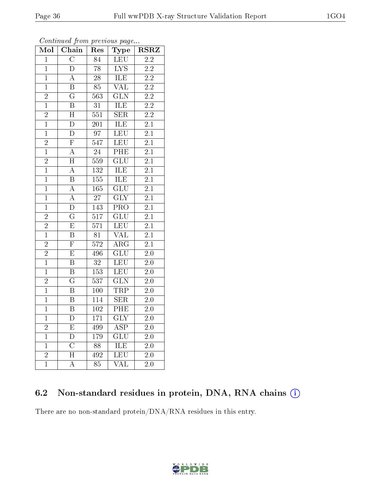| Mol            | Chain                   | Res              | Type                      | <b>RSRZ</b>      |
|----------------|-------------------------|------------------|---------------------------|------------------|
| $\overline{1}$ | $\overline{\rm C}$      | 84               | <b>LEU</b>                | $\overline{2.2}$ |
| $\mathbf{1}$   | $\overline{\rm D}$      | 78               | $\overline{\text{LYS}}$   | 2.2              |
| $\overline{1}$ | $\overline{\rm A}$      | $\overline{28}$  | ILE                       | $\overline{2.2}$ |
| $\overline{1}$ | $\overline{B}$          | $\overline{85}$  | VAL                       | 2.2              |
| $\overline{2}$ | $\overline{\rm G}$      | 563              | $\overline{\text{GLN}}$   | $\overline{2.2}$ |
| $\mathbf{1}$   | $\overline{\mathrm{B}}$ | $\overline{31}$  | <b>ILE</b>                | $\overline{2.2}$ |
| $\overline{2}$ | $\overline{\rm H}$      | 551              | $\overline{\text{SER}}$   | $\overline{2.2}$ |
| $\overline{1}$ | $\overline{\rm D}$      | 201              | <b>ILE</b>                | $\overline{2.1}$ |
| $\mathbf{1}$   | D                       | 97               | LEU                       | 2.1              |
| $\frac{2}{1}$  | $\overline{\mathrm{F}}$ | $\overline{547}$ | LEU                       | $\overline{2.1}$ |
|                | $\boldsymbol{A}$        | 24               | PHE                       | 2.1              |
| $\overline{2}$ | $\overline{\rm H}$      | 559              | $\overline{\text{GLU}}$   | $\overline{2.1}$ |
| $\overline{1}$ | $\overline{\rm A}$      | $\overline{132}$ | ILE                       | $\overline{2.1}$ |
| $\mathbf 1$    | $\overline{\mathrm{B}}$ | 155              | ILE                       | $\overline{2.1}$ |
| $\mathbf{1}$   | $\overline{\rm A}$      | 165              | $\overline{\text{GLU}}$   | $\overline{2.1}$ |
| $\mathbf{1}$   | A                       | 27               | $\overline{\text{GLY}}$   | 2.1              |
| $\mathbf{1}$   | $\overline{\rm D}$      | 143              | $\overline{\text{PRO}}$   | 2.1              |
| $\overline{2}$ | $\overline{\mathrm{G}}$ | $\overline{517}$ | $\overline{\text{GLU}}$   | $\overline{2.1}$ |
| $\overline{2}$ | $\overline{\mathrm{E}}$ | 571              | LEU                       | $\overline{2.1}$ |
| $\overline{1}$ | $\overline{\mathrm{B}}$ | $\overline{81}$  | <b>VAL</b>                | $\overline{2.1}$ |
| $\overline{2}$ | $\overline{\mathrm{F}}$ | 572              | $AR\overline{G}$          | 2.1              |
| $\overline{2}$ | $\overline{\mathrm{E}}$ | 496              | $\overline{\mathrm{GLU}}$ | $\overline{2.0}$ |
| $\overline{1}$ | $\overline{\mathrm{B}}$ | $\overline{32}$  | LEU                       | $2.0\,$          |
| $\mathbf{1}$   | $\overline{\mathrm{B}}$ | 153              | LEU                       | $\overline{2.0}$ |
| $\overline{2}$ | $\overline{\mathrm{G}}$ | $\overline{537}$ | $\overline{\text{GLN}}$   | $\overline{2.0}$ |
| $\overline{1}$ | $\overline{\mathrm{B}}$ | 100              | <b>TRP</b>                | 2.0              |
| $\overline{1}$ | $\overline{\mathrm{B}}$ | $\overline{114}$ | $\overline{\text{SER}}$   | $\overline{2.0}$ |
| $\overline{1}$ | $\overline{\mathrm{B}}$ | 102              | PHE                       | $\overline{2.0}$ |
| $\overline{1}$ | $\overline{\rm D}$      | $\overline{171}$ | $\overline{\text{GLY}}$   | $\overline{2.0}$ |
| $\overline{2}$ | $\overline{\mathrm{E}}$ | 499              | $\overline{\text{ASP}}$   | 2.0              |
| $\mathbf{1}$   | D                       | 179              | GLU                       | $2.0\,$          |
| $\mathbf{1}$   | $\overline{\text{C}}$   | $\overline{88}$  | ILE                       | $2.0\,$          |
| $\overline{2}$ | $\overline{\rm H}$      | 492              | LEU                       | 2.0              |
| $\overline{1}$ | $\overline{\rm A}$      | $\overline{85}$  | $\overline{\text{VAL}}$   | $\overline{2.0}$ |

Continued from previous page...

### 6.2 Non-standard residues in protein, DNA, RNA chains (i)

There are no non-standard protein/DNA/RNA residues in this entry.